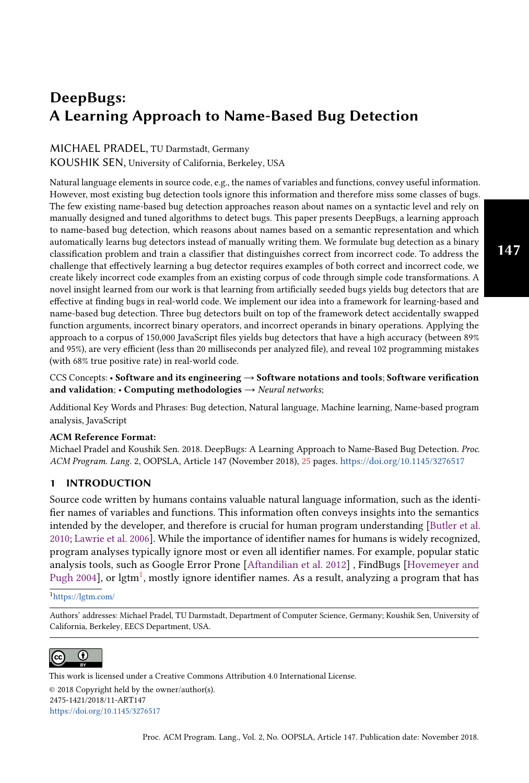### MICHAEL PRADEL, TU Darmstadt, Germany

KOUSHIK SEN, University of California, Berkeley, USA

Natural language elements in source code, e.g., the names of variables and functions, convey useful information. However, most existing bug detection tools ignore this information and therefore miss some classes of bugs. The few existing name-based bug detection approaches reason about names on a syntactic level and rely on manually designed and tuned algorithms to detect bugs. This paper presents DeepBugs, a learning approach to name-based bug detection, which reasons about names based on a semantic representation and which automatically learns bug detectors instead of manually writing them. We formulate bug detection as a binary classification problem and train a classifier that distinguishes correct from incorrect code. To address the challenge that effectively learning a bug detector requires examples of both correct and incorrect code, we create likely incorrect code examples from an existing corpus of code through simple code transformations. A novel insight learned from our work is that learning from artificially seeded bugs yields bug detectors that are effective at finding bugs in real-world code. We implement our idea into a framework for learning-based and name-based bug detection. Three bug detectors built on top of the framework detect accidentally swapped function arguments, incorrect binary operators, and incorrect operands in binary operations. Applying the approach to a corpus of 150,000 JavaScript files yields bug detectors that have a high accuracy (between 89% and 95%), are very efficient (less than 20 milliseconds per analyzed file), and reveal 102 programming mistakes (with 68% true positive rate) in real-world code.

CCS Concepts: • Software and its engineering  $\rightarrow$  Software notations and tools; Software verification and validation;  $\cdot$  Computing methodologies  $\rightarrow$  Neural networks;

Additional Key Words and Phrases: Bug detection, Natural language, Machine learning, Name-based program analysis, JavaScript

#### ACM Reference Format:

Michael Pradel and Koushik Sen. 2018. DeepBugs: A Learning Approach to Name-Based Bug Detection. Proc. ACM Program. Lang. 2, OOPSLA, Article 147 (November 2018), [25](#page-24-0) pages. <https://doi.org/10.1145/3276517>

### 1 INTRODUCTION

Source code written by humans contains valuable natural language information, such as the identifier names of variables and functions. This information often conveys insights into the semantics intended by the developer, and therefore is crucial for human program understanding [\[Butler et al.](#page-22-0) [2010;](#page-22-0) [Lawrie et al.](#page-22-1) [2006\]](#page-22-1). While the importance of identifier names for humans is widely recognized, program analyses typically ignore most or even all identifier names. For example, popular static analysis tools, such as Google Error Prone [\[Aftandilian et al.](#page-21-0) [2012\]](#page-21-0) , FindBugs [\[Hovemeyer and](#page-22-2) [Pugh 2004\]](#page-22-2), or lgtm<sup>[1](#page-0-0)</sup>, mostly ignore identifier names. As a result, analyzing a program that has

#### <span id="page-0-0"></span><sup>1</sup><https://lgtm.com/>

Authors' addresses: Michael Pradel, TU Darmstadt, Department of Computer Science, Germany; Koushik Sen, University of California, Berkeley, EECS Department, USA.



This work is licensed under a Creative Commons Attribution 4.0 International License. © 2018 Copyright held by the owner/author(s). 2475-1421/2018/11-ART147 <https://doi.org/10.1145/3276517>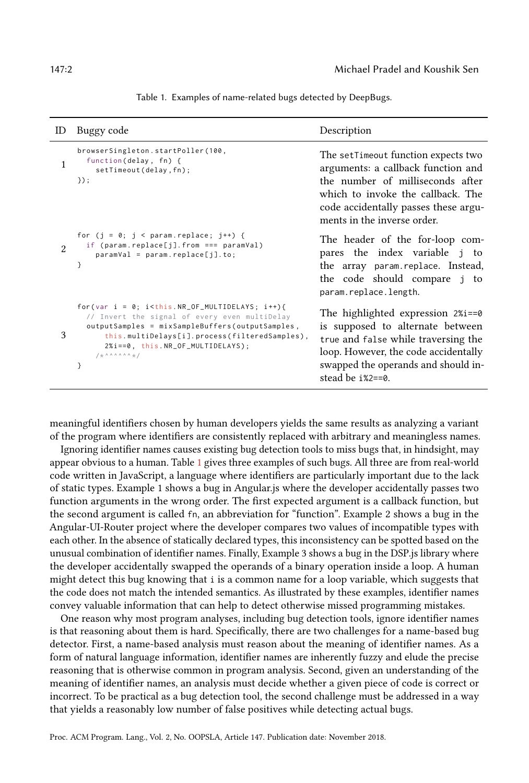<span id="page-1-0"></span>

| ID             | Buggy code                                                                                                                                                                                                                                                                                                                                                                   | Description                                                                                                                                                                                                               |
|----------------|------------------------------------------------------------------------------------------------------------------------------------------------------------------------------------------------------------------------------------------------------------------------------------------------------------------------------------------------------------------------------|---------------------------------------------------------------------------------------------------------------------------------------------------------------------------------------------------------------------------|
| 1              | browserSingleton.startPoller(100,<br>function(delay, fn) {<br>setTimeout(delay, fn);<br>$\}$ :                                                                                                                                                                                                                                                                               | The setTimeout function expects two<br>arguments: a callback function and<br>the number of milliseconds after<br>which to invoke the callback. The<br>code accidentally passes these argu-<br>ments in the inverse order. |
| $\mathfrak{D}$ | for $(j = 0; j <$ param.replace; $j++)$ {<br>if (param.replace[j].from === paramVal)<br>$paramVal = param.replace[j].to;$<br>}                                                                                                                                                                                                                                               | The header of the for-loop com-<br>pares the index variable j to<br>the array param.replace. Instead,<br>the code should compare j to<br>param.replace.length.                                                            |
| 3              | for(var $i = 0$ ; i <this.nr_of_multidelays; <math="">i++){<br/>// Invert the signal of every even multiDelay<br/>outputSamples = mixSampleBuffers(outputSamples,<br/>this.multiDelays[i].process(filteredSamples),<br/>2%i==0, this.NR_OF_MULTIDELAYS);<br/><math>1*</math> <math>1*</math> <math>1*</math> <math>1*</math> <math>1*</math><br/>}</this.nr_of_multidelays;> | The highlighted expression $2\%$ i==0<br>is supposed to alternate between<br>true and false while traversing the<br>loop. However, the code accidentally<br>swapped the operands and should in-<br>stead be $i\%2 == 0$ . |

Table 1. Examples of name-related bugs detected by DeepBugs.

meaningful identifiers chosen by human developers yields the same results as analyzing a variant of the program where identifiers are consistently replaced with arbitrary and meaningless names.

Ignoring identifier names causes existing bug detection tools to miss bugs that, in hindsight, may appear obvious to a human. Table [1](#page-1-0) gives three examples of such bugs. All three are from real-world code written in JavaScript, a language where identifiers are particularly important due to the lack of static types. Example 1 shows a bug in Angular.js where the developer accidentally passes two function arguments in the wrong order. The first expected argument is a callback function, but the second argument is called fn, an abbreviation for "function". Example 2 shows a bug in the Angular-UI-Router project where the developer compares two values of incompatible types with each other. In the absence of statically declared types, this inconsistency can be spotted based on the unusual combination of identifier names. Finally, Example 3 shows a bug in the DSP.js library where the developer accidentally swapped the operands of a binary operation inside a loop. A human might detect this bug knowing that i is a common name for a loop variable, which suggests that the code does not match the intended semantics. As illustrated by these examples, identifier names convey valuable information that can help to detect otherwise missed programming mistakes.

One reason why most program analyses, including bug detection tools, ignore identifier names is that reasoning about them is hard. Specifically, there are two challenges for a name-based bug detector. First, a name-based analysis must reason about the meaning of identifier names. As a form of natural language information, identifier names are inherently fuzzy and elude the precise reasoning that is otherwise common in program analysis. Second, given an understanding of the meaning of identifier names, an analysis must decide whether a given piece of code is correct or incorrect. To be practical as a bug detection tool, the second challenge must be addressed in a way that yields a reasonably low number of false positives while detecting actual bugs.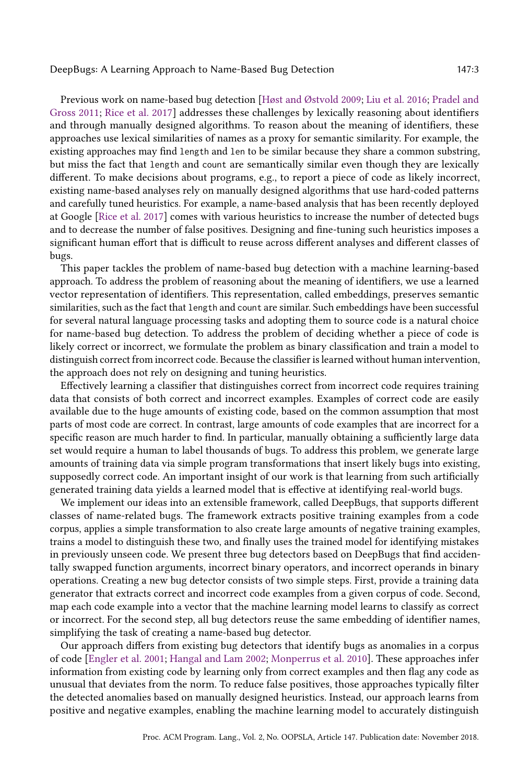Previous work on name-based bug detection [Høst and Østvold 2009; [Liu et al.](#page-23-0) [2016;](#page-23-0) [Pradel and](#page-23-1) [Gross 2011;](#page-23-1) [Rice et al.](#page-23-2) [2017\]](#page-23-2) addresses these challenges by lexically reasoning about identifiers and through manually designed algorithms. To reason about the meaning of identifiers, these approaches use lexical similarities of names as a proxy for semantic similarity. For example, the existing approaches may find length and len to be similar because they share a common substring, but miss the fact that length and count are semantically similar even though they are lexically different. To make decisions about programs, e.g., to report a piece of code as likely incorrect, existing name-based analyses rely on manually designed algorithms that use hard-coded patterns and carefully tuned heuristics. For example, a name-based analysis that has been recently deployed at Google [\[Rice et al.](#page-23-2) [2017\]](#page-23-2) comes with various heuristics to increase the number of detected bugs and to decrease the number of false positives. Designing and fine-tuning such heuristics imposes a significant human effort that is difficult to reuse across different analyses and different classes of bugs.

This paper tackles the problem of name-based bug detection with a machine learning-based approach. To address the problem of reasoning about the meaning of identifiers, we use a learned vector representation of identifiers. This representation, called embeddings, preserves semantic similarities, such as the fact that length and count are similar. Such embeddings have been successful for several natural language processing tasks and adopting them to source code is a natural choice for name-based bug detection. To address the problem of deciding whether a piece of code is likely correct or incorrect, we formulate the problem as binary classification and train a model to distinguish correct from incorrect code. Because the classifier is learned without human intervention, the approach does not rely on designing and tuning heuristics.

Effectively learning a classifier that distinguishes correct from incorrect code requires training data that consists of both correct and incorrect examples. Examples of correct code are easily available due to the huge amounts of existing code, based on the common assumption that most parts of most code are correct. In contrast, large amounts of code examples that are incorrect for a specific reason are much harder to find. In particular, manually obtaining a sufficiently large data set would require a human to label thousands of bugs. To address this problem, we generate large amounts of training data via simple program transformations that insert likely bugs into existing, supposedly correct code. An important insight of our work is that learning from such artificially generated training data yields a learned model that is effective at identifying real-world bugs.

We implement our ideas into an extensible framework, called DeepBugs, that supports different classes of name-related bugs. The framework extracts positive training examples from a code corpus, applies a simple transformation to also create large amounts of negative training examples, trains a model to distinguish these two, and finally uses the trained model for identifying mistakes in previously unseen code. We present three bug detectors based on DeepBugs that find accidentally swapped function arguments, incorrect binary operators, and incorrect operands in binary operations. Creating a new bug detector consists of two simple steps. First, provide a training data generator that extracts correct and incorrect code examples from a given corpus of code. Second, map each code example into a vector that the machine learning model learns to classify as correct or incorrect. For the second step, all bug detectors reuse the same embedding of identifier names, simplifying the task of creating a name-based bug detector.

Our approach differs from existing bug detectors that identify bugs as anomalies in a corpus of code [\[Engler et al.](#page-22-4) [2001;](#page-22-4) [Hangal and Lam 2002;](#page-22-5) [Monperrus et al.](#page-23-3) [2010\]](#page-23-3). These approaches infer information from existing code by learning only from correct examples and then flag any code as unusual that deviates from the norm. To reduce false positives, those approaches typically filter the detected anomalies based on manually designed heuristics. Instead, our approach learns from positive and negative examples, enabling the machine learning model to accurately distinguish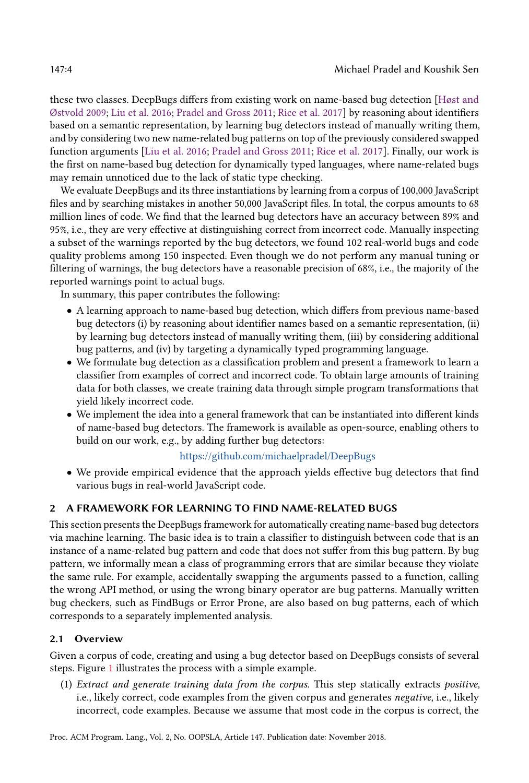these two classes. DeepBugs differs from existing work on name-based bug detection [\[Hùst and](#page-22-3) [Østvold 2009;](#page-22-3) [Liu et al.](#page-23-0) [2016;](#page-23-0) [Pradel and Gross 2011;](#page-23-1) [Rice et al.](#page-23-2) [2017\]](#page-23-2) by reasoning about identifiers based on a semantic representation, by learning bug detectors instead of manually writing them, and by considering two new name-related bug patterns on top of the previously considered swapped function arguments [\[Liu et al.](#page-23-0) [2016;](#page-23-0) [Pradel and Gross 2011;](#page-23-1) [Rice et al.](#page-23-2) [2017\]](#page-23-2). Finally, our work is the first on name-based bug detection for dynamically typed languages, where name-related bugs may remain unnoticed due to the lack of static type checking.

We evaluate DeepBugs and its three instantiations by learning from a corpus of 100,000 JavaScript files and by searching mistakes in another 50,000 JavaScript files. In total, the corpus amounts to 68 million lines of code. We find that the learned bug detectors have an accuracy between 89% and 95%, i.e., they are very effective at distinguishing correct from incorrect code. Manually inspecting a subset of the warnings reported by the bug detectors, we found 102 real-world bugs and code quality problems among 150 inspected. Even though we do not perform any manual tuning or filtering of warnings, the bug detectors have a reasonable precision of 68%, i.e., the majority of the reported warnings point to actual bugs.

In summary, this paper contributes the following:

- A learning approach to name-based bug detection, which differs from previous name-based bug detectors (i) by reasoning about identifier names based on a semantic representation, (ii) by learning bug detectors instead of manually writing them, (iii) by considering additional bug patterns, and (iv) by targeting a dynamically typed programming language.
- We formulate bug detection as a classification problem and present a framework to learn a classifier from examples of correct and incorrect code. To obtain large amounts of training data for both classes, we create training data through simple program transformations that yield likely incorrect code.
- We implement the idea into a general framework that can be instantiated into different kinds of name-based bug detectors. The framework is available as open-source, enabling others to build on our work, e.g., by adding further bug detectors:

### <https://github.com/michaelpradel/DeepBugs>

• We provide empirical evidence that the approach yields effective bug detectors that find various bugs in real-world JavaScript code.

# 2 A FRAMEWORK FOR LEARNING TO FIND NAME-RELATED BUGS

This section presents the DeepBugs framework for automatically creating name-based bug detectors via machine learning. The basic idea is to train a classifier to distinguish between code that is an instance of a name-related bug pattern and code that does not suffer from this bug pattern. By bug pattern, we informally mean a class of programming errors that are similar because they violate the same rule. For example, accidentally swapping the arguments passed to a function, calling the wrong API method, or using the wrong binary operator are bug patterns. Manually written bug checkers, such as FindBugs or Error Prone, are also based on bug patterns, each of which corresponds to a separately implemented analysis.

### 2.1 Overview

Given a corpus of code, creating and using a bug detector based on DeepBugs consists of several steps. Figure [1](#page-4-0) illustrates the process with a simple example.

(1) Extract and generate training data from the corpus. This step statically extracts positive, i.e., likely correct, code examples from the given corpus and generates negative, i.e., likely incorrect, code examples. Because we assume that most code in the corpus is correct, the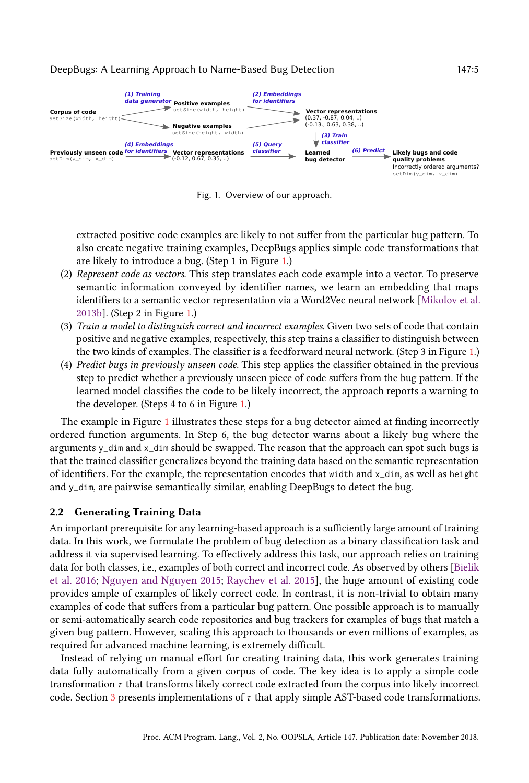<span id="page-4-0"></span>

Fig. 1. Overview of our approach.

extracted positive code examples are likely to not suffer from the particular bug pattern. To also create negative training examples, DeepBugs applies simple code transformations that are likely to introduce a bug. (Step 1 in Figure [1.](#page-4-0))

- (2) Represent code as vectors. This step translates each code example into a vector. To preserve semantic information conveyed by identifier names, we learn an embedding that maps identifiers to a semantic vector representation via a Word2Vec neural network [\[Mikolov et al.](#page-23-4) [2013b\]](#page-23-4). (Step 2 in Figure [1.](#page-4-0))
- (3) Train a model to distinguish correct and incorrect examples. Given two sets of code that contain positive and negative examples, respectively, this step trains a classifier to distinguish between the two kinds of examples. The classifier is a feedforward neural network. (Step 3 in Figure [1.](#page-4-0))
- (4) Predict bugs in previously unseen code. This step applies the classifier obtained in the previous step to predict whether a previously unseen piece of code suffers from the bug pattern. If the learned model classifies the code to be likely incorrect, the approach reports a warning to the developer. (Steps 4 to 6 in Figure [1.](#page-4-0))

The example in Figure [1](#page-4-0) illustrates these steps for a bug detector aimed at finding incorrectly ordered function arguments. In Step 6, the bug detector warns about a likely bug where the arguments y\_dim and x\_dim should be swapped. The reason that the approach can spot such bugs is that the trained classifier generalizes beyond the training data based on the semantic representation of identifiers. For the example, the representation encodes that width and x\_dim, as well as height and y\_dim, are pairwise semantically similar, enabling DeepBugs to detect the bug.

# 2.2 Generating Training Data

An important prerequisite for any learning-based approach is a sufficiently large amount of training data. In this work, we formulate the problem of bug detection as a binary classification task and address it via supervised learning. To effectively address this task, our approach relies on training data for both classes, i.e., examples of both correct and incorrect code. As observed by others [\[Bielik](#page-22-6) [et al.](#page-22-6) [2016;](#page-22-6) [Nguyen and Nguyen 2015;](#page-23-5) [Raychev et al.](#page-23-6) [2015\]](#page-23-6), the huge amount of existing code provides ample of examples of likely correct code. In contrast, it is non-trivial to obtain many examples of code that suffers from a particular bug pattern. One possible approach is to manually or semi-automatically search code repositories and bug trackers for examples of bugs that match a given bug pattern. However, scaling this approach to thousands or even millions of examples, as required for advanced machine learning, is extremely difficult.

Instead of relying on manual effort for creating training data, this work generates training data fully automatically from a given corpus of code. The key idea is to apply a simple code transformation  $\tau$  that transforms likely correct code extracted from the corpus into likely incorrect code. Section [3](#page-8-0) presents implementations of  $\tau$  that apply simple AST-based code transformations.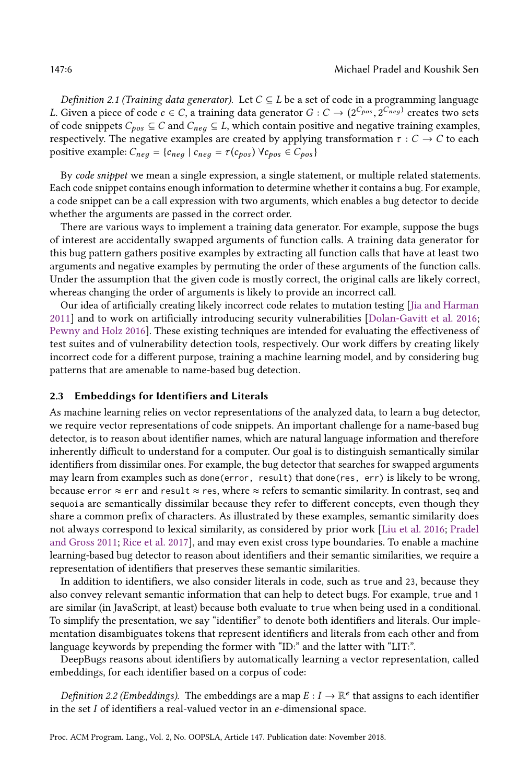<span id="page-5-0"></span>*Definition 2.1 (Training data generator).* Let  $C \subseteq L$  be a set of code in a programming language *L*. Given a piece of code *c* ∈ *C*, a training data generator *G* : *C* → (2<sup>*Cpos*</sup>, 2<sup>*Cneg*)</sup> creates two sets of code snippets  $C_{pos} \subseteq C$  and  $C_{neg} \subseteq L$ , which contain positive and negative training examples, respectively. The negative examples are created by applying transformation  $\tau : C \to C$  to each positive example:  $C_{neq} = \{c_{neq} \mid c_{neq} = \tau(c_{pos}) \forall c_{pos} \in C_{pos} \}$ 

By code snippet we mean a single expression, a single statement, or multiple related statements. Each code snippet contains enough information to determine whether it contains a bug. For example, a code snippet can be a call expression with two arguments, which enables a bug detector to decide whether the arguments are passed in the correct order.

There are various ways to implement a training data generator. For example, suppose the bugs of interest are accidentally swapped arguments of function calls. A training data generator for this bug pattern gathers positive examples by extracting all function calls that have at least two arguments and negative examples by permuting the order of these arguments of the function calls. Under the assumption that the given code is mostly correct, the original calls are likely correct, whereas changing the order of arguments is likely to provide an incorrect call.

Our idea of artificially creating likely incorrect code relates to mutation testing [\[Jia and Harman](#page-22-7) [2011\]](#page-22-7) and to work on artificially introducing security vulnerabilities [\[Dolan-Gavitt et al.](#page-22-8) [2016;](#page-22-8) [Pewny and Holz 2016\]](#page-23-7). These existing techniques are intended for evaluating the effectiveness of test suites and of vulnerability detection tools, respectively. Our work differs by creating likely incorrect code for a different purpose, training a machine learning model, and by considering bug patterns that are amenable to name-based bug detection.

### <span id="page-5-1"></span>2.3 Embeddings for Identifiers and Literals

As machine learning relies on vector representations of the analyzed data, to learn a bug detector, we require vector representations of code snippets. An important challenge for a name-based bug detector, is to reason about identifier names, which are natural language information and therefore inherently difficult to understand for a computer. Our goal is to distinguish semantically similar identifiers from dissimilar ones. For example, the bug detector that searches for swapped arguments may learn from examples such as done(error, result) that done(res, err) is likely to be wrong, because error  $\approx$  err and result  $\approx$  res, where  $\approx$  refers to semantic similarity. In contrast, seq and sequoia are semantically dissimilar because they refer to different concepts, even though they share a common prefix of characters. As illustrated by these examples, semantic similarity does not always correspond to lexical similarity, as considered by prior work [\[Liu et al.](#page-23-0) [2016;](#page-23-0) [Pradel](#page-23-1) [and Gross 2011;](#page-23-1) [Rice et al.](#page-23-2) [2017\]](#page-23-2), and may even exist cross type boundaries. To enable a machine learning-based bug detector to reason about identifiers and their semantic similarities, we require a representation of identifiers that preserves these semantic similarities.

In addition to identifiers, we also consider literals in code, such as true and 23, because they also convey relevant semantic information that can help to detect bugs. For example, true and 1 are similar (in JavaScript, at least) because both evaluate to true when being used in a conditional. To simplify the presentation, we say "identifier" to denote both identifiers and literals. Our implementation disambiguates tokens that represent identifiers and literals from each other and from language keywords by prepending the former with "ID:" and the latter with "LIT:".

DeepBugs reasons about identifiers by automatically learning a vector representation, called embeddings, for each identifier based on a corpus of code:

Definition 2.2 (Embeddings). The embeddings are a map  $E: I \to \mathbb{R}^e$  that assigns to each identifier in the set  $I$  of identifiers a real-valued vector in an  $e$ -dimensional space.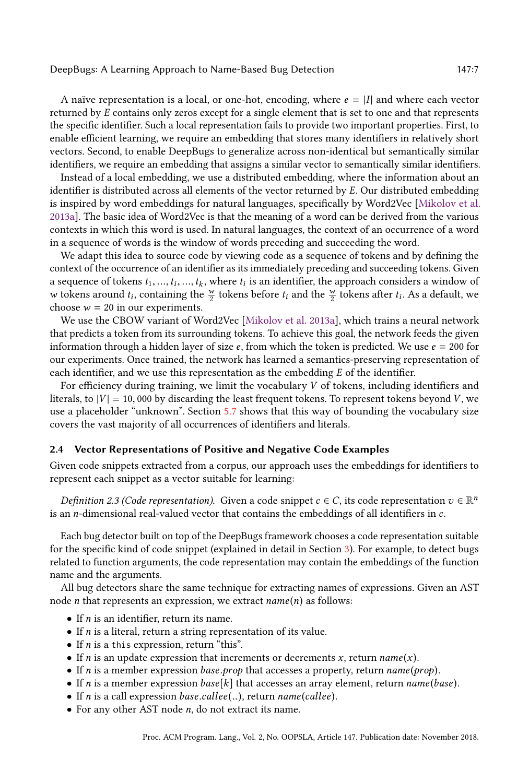A naïve representation is a local, or one-hot, encoding, where  $e = |I|$  and where each vector returned by E contains only zeros except for a single element that is set to one and that represents the specific identifier. Such a local representation fails to provide two important properties. First, to enable efficient learning, we require an embedding that stores many identifiers in relatively short vectors. Second, to enable DeepBugs to generalize across non-identical but semantically similar identifiers, we require an embedding that assigns a similar vector to semantically similar identifiers.

Instead of a local embedding, we use a distributed embedding, where the information about an identifier is distributed across all elements of the vector returned by  $E$ . Our distributed embedding is inspired by word embeddings for natural languages, specifically by Word2Vec [\[Mikolov et al.](#page-23-8) [2013a\]](#page-23-8). The basic idea of Word2Vec is that the meaning of a word can be derived from the various contexts in which this word is used. In natural languages, the context of an occurrence of a word in a sequence of words is the window of words preceding and succeeding the word.

We adapt this idea to source code by viewing code as a sequence of tokens and by defining the context of the occurrence of an identifier as its immediately preceding and succeeding tokens. Given a sequence of tokens  $t_1, ..., t_i, ..., t_k$ , where  $t_i$  is an identifier, the approach considers a window of *w* tokens around  $t_i$ , containing the  $\frac{w}{2}$  tokens before  $t_i$  and the  $\frac{w}{2}$  tokens after  $t_i$ . As a default, we choose  $w = 20$  in our experiments.

We use the CBOW variant of Word2Vec [\[Mikolov et al.](#page-23-8) [2013a\]](#page-23-8), which trains a neural network that predicts a token from its surrounding tokens. To achieve this goal, the network feeds the given information through a hidden layer of size  $e$ , from which the token is predicted. We use  $e = 200$  for our experiments. Once trained, the network has learned a semantics-preserving representation of each identifier, and we use this representation as the embedding  $E$  of the identifier.

For efficiency during training, we limit the vocabulary V of tokens, including identifiers and literals, to  $|V| = 10,000$  by discarding the least frequent tokens. To represent tokens beyond V, we use a placeholder "unknown". Section [5.7](#page-18-0) shows that this way of bounding the vocabulary size covers the vast majority of all occurrences of identifiers and literals.

#### <span id="page-6-1"></span>2.4 Vector Representations of Positive and Negative Code Examples

Given code snippets extracted from a corpus, our approach uses the embeddings for identifiers to represent each snippet as a vector suitable for learning:

<span id="page-6-0"></span>Definition 2.3 (Code representation). Given a code snippet  $c \in C$ , its code representation  $v \in \mathbb{R}^n$ is an n-dimensional real-valued vector that contains the embeddings of all identifiers in c.

Each bug detector built on top of the DeepBugs framework chooses a code representation suitable for the specific kind of code snippet (explained in detail in Section [3\)](#page-8-0). For example, to detect bugs related to function arguments, the code representation may contain the embeddings of the function name and the arguments.

All bug detectors share the same technique for extracting names of expressions. Given an AST node *n* that represents an expression, we extract  $name(n)$  as follows:

- If  $n$  is an identifier, return its name.
- If  $n$  is a literal, return a string representation of its value.
- If  $n$  is a this expression, return "this".
- If *n* is an update expression that increments or decrements *x*, return *name*(*x*).
- If  $n$  is a member expression *base.prop* that accesses a property, return  $name(prop)$ .
- If *n* is a member expression  $base[k]$  that accesses an array element, return *name*(*base*).
- If  $n$  is a call expression *base.callee*(..), return  $name(callee)$ .
- For any other AST node n, do not extract its name.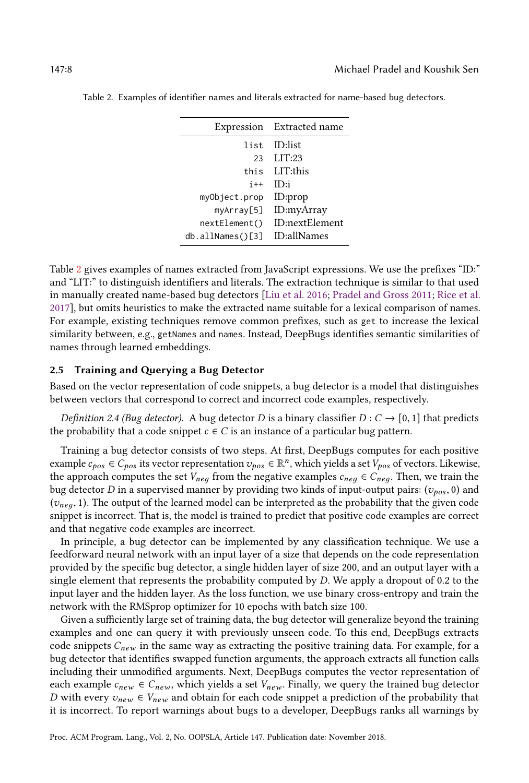|                        | Expression Extracted name |  |  |
|------------------------|---------------------------|--|--|
| list                   | <b>ID:list</b>            |  |  |
| つろ                     | LIT:23                    |  |  |
| this                   | LIT:this                  |  |  |
| $i++$                  | $ID:$ i                   |  |  |
| myObject.prop          | ID:prop                   |  |  |
| myArray[5]             | ID:myArray                |  |  |
| nextElement()          | ID:nextElement            |  |  |
| $db.addallNames()$ [3] | <b>ID:allNames</b>        |  |  |

<span id="page-7-0"></span>Table 2. Examples of identifier names and literals extracted for name-based bug detectors.

Table [2](#page-7-0) gives examples of names extracted from JavaScript expressions. We use the prefixes "ID:" and "LIT:" to distinguish identifiers and literals. The extraction technique is similar to that used in manually created name-based bug detectors [\[Liu et al.](#page-23-0) [2016;](#page-23-0) [Pradel and Gross 2011;](#page-23-1) [Rice et al.](#page-23-2) [2017\]](#page-23-2), but omits heuristics to make the extracted name suitable for a lexical comparison of names. For example, existing techniques remove common prefixes, such as get to increase the lexical similarity between, e.g., getNames and names. Instead, DeepBugs identifies semantic similarities of names through learned embeddings.

### 2.5 Training and Querying a Bug Detector

Based on the vector representation of code snippets, a bug detector is a model that distinguishes between vectors that correspond to correct and incorrect code examples, respectively.

Definition 2.4 (Bug detector). A bug detector D is a binary classifier  $D: C \rightarrow [0, 1]$  that predicts the probability that a code snippet  $c \in C$  is an instance of a particular bug pattern.

Training a bug detector consists of two steps. At first, DeepBugs computes for each positive example  $c_{pos} \in C_{pos}$  its vector representation  $v_{pos} \in \mathbb{R}^n$ , which yields a set  $V_{pos}$  of vectors. Likewise, the approach computes the set  $V_{\text{neg}}$  from the negative examples  $c_{\text{neg}} \in C_{\text{neg}}$ . Then, we train the bug detector D in a supervised manner by providing two kinds of input-output pairs:  $(v_{pos}, 0)$  and  $(v_{nea}, 1)$ . The output of the learned model can be interpreted as the probability that the given code snippet is incorrect. That is, the model is trained to predict that positive code examples are correct and that negative code examples are incorrect.

In principle, a bug detector can be implemented by any classification technique. We use a feedforward neural network with an input layer of a size that depends on the code representation provided by the specific bug detector, a single hidden layer of size 200, and an output layer with a single element that represents the probability computed by D. We apply a dropout of 0.2 to the input layer and the hidden layer. As the loss function, we use binary cross-entropy and train the network with the RMSprop optimizer for 10 epochs with batch size 100.

Given a sufficiently large set of training data, the bug detector will generalize beyond the training examples and one can query it with previously unseen code. To this end, DeepBugs extracts code snippets  $C_{new}$  in the same way as extracting the positive training data. For example, for a bug detector that identifies swapped function arguments, the approach extracts all function calls including their unmodified arguments. Next, DeepBugs computes the vector representation of each example  $c_{new} \in C_{new}$ , which yields a set  $V_{new}$ . Finally, we query the trained bug detector D with every  $v_{new} \in V_{new}$  and obtain for each code snippet a prediction of the probability that it is incorrect. To report warnings about bugs to a developer, DeepBugs ranks all warnings by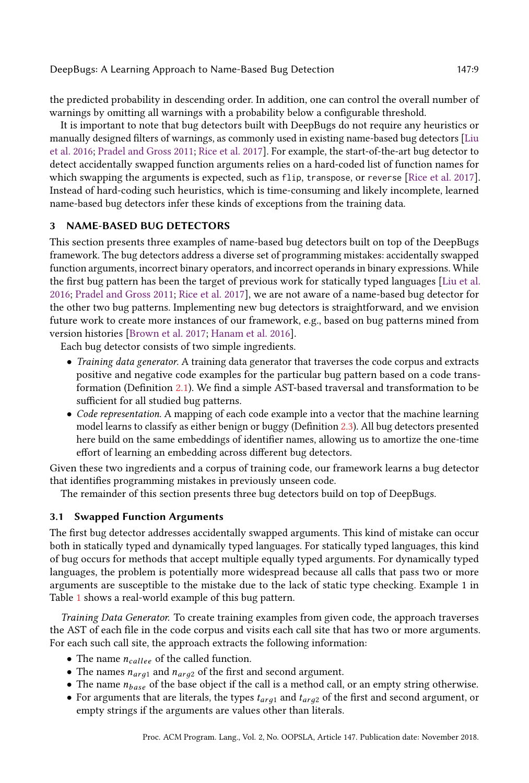the predicted probability in descending order. In addition, one can control the overall number of warnings by omitting all warnings with a probability below a configurable threshold.

It is important to note that bug detectors built with DeepBugs do not require any heuristics or manually designed filters of warnings, as commonly used in existing name-based bug detectors [\[Liu](#page-23-0) [et al.](#page-23-0) [2016;](#page-23-0) [Pradel and Gross 2011;](#page-23-1) [Rice et al.](#page-23-2) [2017\]](#page-23-2). For example, the start-of-the-art bug detector to detect accidentally swapped function arguments relies on a hard-coded list of function names for which swapping the arguments is expected, such as flip, transpose, or reverse [\[Rice et al.](#page-23-2) [2017\]](#page-23-2). Instead of hard-coding such heuristics, which is time-consuming and likely incomplete, learned name-based bug detectors infer these kinds of exceptions from the training data.

# <span id="page-8-0"></span>3 NAME-BASED BUG DETECTORS

This section presents three examples of name-based bug detectors built on top of the DeepBugs framework. The bug detectors address a diverse set of programming mistakes: accidentally swapped function arguments, incorrect binary operators, and incorrect operands in binary expressions. While the first bug pattern has been the target of previous work for statically typed languages [\[Liu et al.](#page-23-0) [2016;](#page-23-0) [Pradel and Gross 2011;](#page-23-1) [Rice et al.](#page-23-2) [2017\]](#page-23-2), we are not aware of a name-based bug detector for the other two bug patterns. Implementing new bug detectors is straightforward, and we envision future work to create more instances of our framework, e.g., based on bug patterns mined from version histories [\[Brown et al. 2017;](#page-22-9) [Hanam et al. 2016\]](#page-22-10).

Each bug detector consists of two simple ingredients.

- Training data generator. A training data generator that traverses the code corpus and extracts positive and negative code examples for the particular bug pattern based on a code transformation (Definition [2.1\)](#page-5-0). We find a simple AST-based traversal and transformation to be sufficient for all studied bug patterns.
- Code representation. A mapping of each code example into a vector that the machine learning model learns to classify as either benign or buggy (Definition [2.3\)](#page-6-0). All bug detectors presented here build on the same embeddings of identifier names, allowing us to amortize the one-time effort of learning an embedding across different bug detectors.

Given these two ingredients and a corpus of training code, our framework learns a bug detector that identifies programming mistakes in previously unseen code.

The remainder of this section presents three bug detectors build on top of DeepBugs.

### 3.1 Swapped Function Arguments

The first bug detector addresses accidentally swapped arguments. This kind of mistake can occur both in statically typed and dynamically typed languages. For statically typed languages, this kind of bug occurs for methods that accept multiple equally typed arguments. For dynamically typed languages, the problem is potentially more widespread because all calls that pass two or more arguments are susceptible to the mistake due to the lack of static type checking. Example 1 in Table [1](#page-1-0) shows a real-world example of this bug pattern.

Training Data Generator. To create training examples from given code, the approach traverses the AST of each file in the code corpus and visits each call site that has two or more arguments. For each such call site, the approach extracts the following information:

- The name  $n_{callee}$  of the called function.
- The names  $n_{arg1}$  and  $n_{arg2}$  of the first and second argument.
- The name  $n_{base}$  of the base object if the call is a method call, or an empty string otherwise.
- For arguments that are literals, the types  $t_{arg1}$  and  $t_{arg2}$  of the first and second argument, or empty strings if the arguments are values other than literals.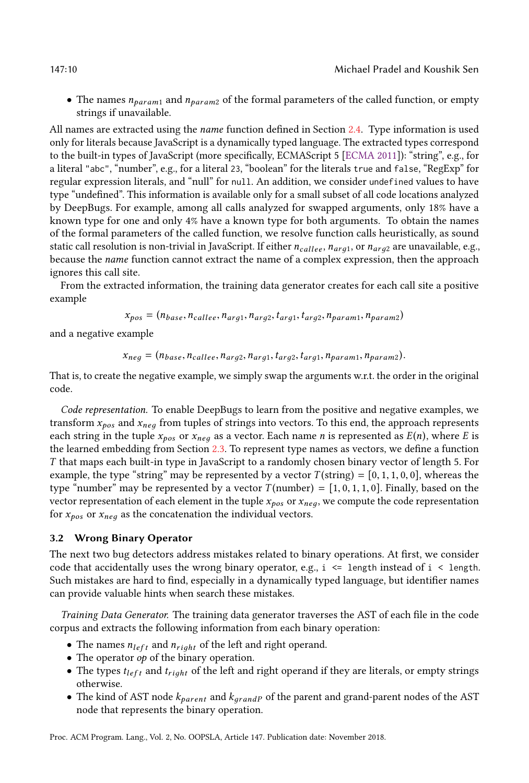• The names  $n_{param1}$  and  $n_{param2}$  of the formal parameters of the called function, or empty strings if unavailable.

All names are extracted using the name function defined in Section [2.4.](#page-6-1) Type information is used only for literals because JavaScript is a dynamically typed language. The extracted types correspond to the built-in types of JavaScript (more specifically, ECMAScript 5 [\[ECMA 2011\]](#page-22-11)): "string", e.g., for a literal "abc", "number", e.g., for a literal 23, "boolean" for the literals true and false, "RegExp" for regular expression literals, and "null" for null. An addition, we consider undefined values to have type "undefined". This information is available only for a small subset of all code locations analyzed by DeepBugs. For example, among all calls analyzed for swapped arguments, only 18% have a known type for one and only 4% have a known type for both arguments. To obtain the names of the formal parameters of the called function, we resolve function calls heuristically, as sound static call resolution is non-trivial in JavaScript. If either  $n_{callee}$ ,  $n_{aral}$ , or  $n_{aral}$  are unavailable, e.g., because the name function cannot extract the name of a complex expression, then the approach ignores this call site.

From the extracted information, the training data generator creates for each call site a positive example

$$
x_{pos} = (n_{base}, n_{called}, n_{arg1}, n_{arg2}, t_{arg1}, t_{arg2}, n_{param1}, n_{param2})
$$

and a negative example

$$
x_{neg} = (n_{base}, n_{called}, n_{arg2}, n_{arg1}, t_{arg2}, t_{arg1}, n_{param1}, n_{param2}).
$$

That is, to create the negative example, we simply swap the arguments w.r.t. the order in the original code.

Code representation. To enable DeepBugs to learn from the positive and negative examples, we transform  $x_{pos}$  and  $x_{neg}$  from tuples of strings into vectors. To this end, the approach represents each string in the tuple  $x_{pos}$  or  $x_{neg}$  as a vector. Each name *n* is represented as  $E(n)$ , where *E* is the learned embedding from Section [2.3.](#page-5-1) To represent type names as vectors, we define a function T that maps each built-in type in JavaScript to a randomly chosen binary vector of length 5. For example, the type "string" may be represented by a vector  $T(\text{string}) = [0, 1, 1, 0, 0]$ , whereas the type "number" may be represented by a vector  $T$ (number) = [1, 0, 1, 1, 0]. Finally, based on the vector representation of each element in the tuple  $x_{pos}$  or  $x_{neg}$ , we compute the code representation for  $x_{pos}$  or  $x_{neg}$  as the concatenation the individual vectors.

### <span id="page-9-0"></span>3.2 Wrong Binary Operator

The next two bug detectors address mistakes related to binary operations. At first, we consider code that accidentally uses the wrong binary operator, e.g.,  $i \le$  length instead of  $i \le$  length. Such mistakes are hard to find, especially in a dynamically typed language, but identifier names can provide valuable hints when search these mistakes.

Training Data Generator. The training data generator traverses the AST of each file in the code corpus and extracts the following information from each binary operation:

- The names  $n_{left}$  and  $n_{right}$  of the left and right operand.
- The operator *op* of the binary operation.
- The types  $t_{left}$  and  $t_{right}$  of the left and right operand if they are literals, or empty strings otherwise.
- The kind of AST node  $k_{parent}$  and  $k_{grand}$  of the parent and grand-parent nodes of the AST node that represents the binary operation.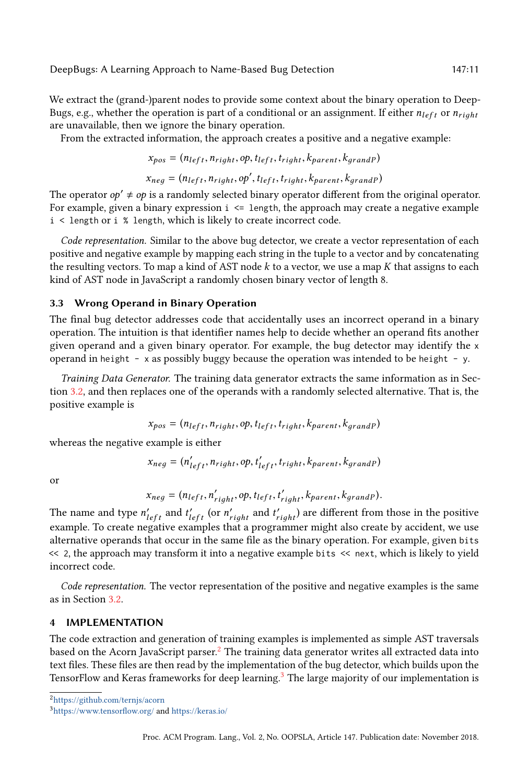We extract the (grand-)parent nodes to provide some context about the binary operation to Deep-Bugs, e.g., whether the operation is part of a conditional or an assignment. If either  $n_{left}$  or  $n_{riath}$ are unavailable, then we ignore the binary operation.

From the extracted information, the approach creates a positive and a negative example:

$$
x_{pos} = (n_{left}, n_{right}, op, t_{left}, t_{right}, k_{parent}, k_{grandP})
$$
  

$$
x_{neg} = (n_{left}, n_{right}, op', t_{left}, t_{right}, k_{parent}, k_{grandP})
$$

The operator  $op' \neq op$  is a randomly selected binary operator different from the original operator. For example, given a binary expression  $i \le$  length, the approach may create a negative example i < length or i % length, which is likely to create incorrect code.

Code representation. Similar to the above bug detector, we create a vector representation of each positive and negative example by mapping each string in the tuple to a vector and by concatenating the resulting vectors. To map a kind of AST node  $k$  to a vector, we use a map  $K$  that assigns to each kind of AST node in JavaScript a randomly chosen binary vector of length 8.

### 3.3 Wrong Operand in Binary Operation

The final bug detector addresses code that accidentally uses an incorrect operand in a binary operation. The intuition is that identifier names help to decide whether an operand fits another given operand and a given binary operator. For example, the bug detector may identify the x operand in height - x as possibly buggy because the operation was intended to be height - y.

Training Data Generator. The training data generator extracts the same information as in Section [3.2,](#page-9-0) and then replaces one of the operands with a randomly selected alternative. That is, the positive example is

 $x_{pos} = (n_{left}, n_{right}, op, t_{left}, t_{right}, k_{parent}, k_{grandP})$ 

whereas the negative example is either

 $x_{neg} = (n'_{left}, n_{right}, op, t'_{left}, t_{right}, k_{parent}, k_{grandP})$ 

or

$$
x_{neg} = (n_{left}, n'_{right}, op, t_{left}, t'_{right}, k_{parent}, k_{grandP}).
$$

The name and type  $n'_{left}$  and  $t'_{left}$  (or  $n'_{right}$  and  $t'_{right}$ ) are different from those in the positive example. To create negative examples that a programmer might also create by accident, we use alternative operands that occur in the same file as the binary operation. For example, given bits << 2, the approach may transform it into a negative example bits << next, which is likely to yield incorrect code.

Code representation. The vector representation of the positive and negative examples is the same as in Section [3.2.](#page-9-0)

# 4 IMPLEMENTATION

The code extraction and generation of training examples is implemented as simple AST traversals based on the Acorn JavaScript parser.<sup>[2](#page-10-0)</sup> The training data generator writes all extracted data into text files. These files are then read by the implementation of the bug detector, which builds upon the TensorFlow and Keras frameworks for deep learning.<sup>[3](#page-10-1)</sup> The large majority of our implementation is

<span id="page-10-0"></span><sup>2</sup><https://github.com/ternjs/acorn>

<span id="page-10-1"></span><sup>3</sup><https://www.tensorflow.org/> and <https://keras.io/>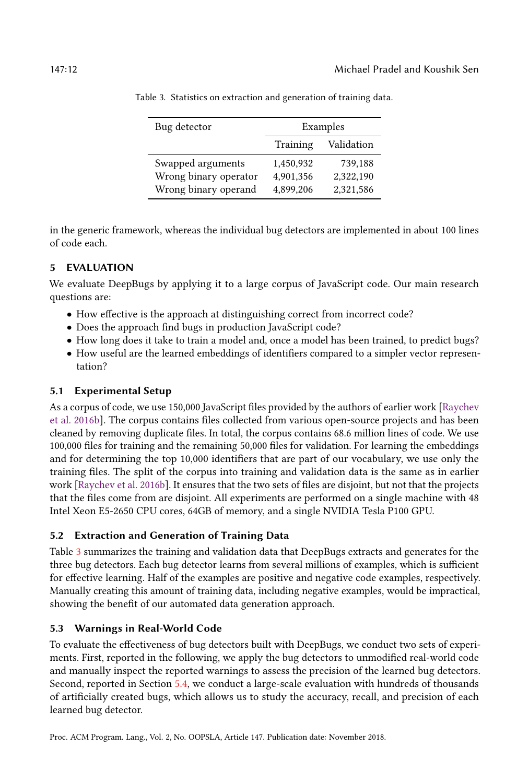| Bug detector<br>Examples                   |                        |                      |
|--------------------------------------------|------------------------|----------------------|
|                                            | Training               | Validation           |
| Swapped arguments<br>Wrong binary operator | 1,450,932<br>4,901,356 | 739,188<br>2,322,190 |
| Wrong binary operand                       | 4,899,206              | 2,321,586            |

<span id="page-11-0"></span>Table 3. Statistics on extraction and generation of training data.

in the generic framework, whereas the individual bug detectors are implemented in about 100 lines of code each.

# 5 EVALUATION

We evaluate DeepBugs by applying it to a large corpus of JavaScript code. Our main research questions are:

- How effective is the approach at distinguishing correct from incorrect code?
- Does the approach find bugs in production JavaScript code?
- How long does it take to train a model and, once a model has been trained, to predict bugs?
- How useful are the learned embeddings of identifiers compared to a simpler vector representation?

# 5.1 Experimental Setup

As a corpus of code, we use 150,000 JavaScript files provided by the authors of earlier work [\[Raychev](#page-23-9) [et al.](#page-23-9) [2016b\]](#page-23-9). The corpus contains files collected from various open-source projects and has been cleaned by removing duplicate files. In total, the corpus contains 68.6 million lines of code. We use 100,000 files for training and the remaining 50,000 files for validation. For learning the embeddings and for determining the top 10,000 identifiers that are part of our vocabulary, we use only the training files. The split of the corpus into training and validation data is the same as in earlier work [\[Raychev et al.](#page-23-9) [2016b\]](#page-23-9). It ensures that the two sets of files are disjoint, but not that the projects that the files come from are disjoint. All experiments are performed on a single machine with 48 Intel Xeon E5-2650 CPU cores, 64GB of memory, and a single NVIDIA Tesla P100 GPU.

# 5.2 Extraction and Generation of Training Data

Table [3](#page-11-0) summarizes the training and validation data that DeepBugs extracts and generates for the three bug detectors. Each bug detector learns from several millions of examples, which is sufficient for effective learning. Half of the examples are positive and negative code examples, respectively. Manually creating this amount of training data, including negative examples, would be impractical, showing the benefit of our automated data generation approach.

# <span id="page-11-1"></span>5.3 Warnings in Real-World Code

To evaluate the effectiveness of bug detectors built with DeepBugs, we conduct two sets of experiments. First, reported in the following, we apply the bug detectors to unmodified real-world code and manually inspect the reported warnings to assess the precision of the learned bug detectors. Second, reported in Section [5.4,](#page-14-0) we conduct a large-scale evaluation with hundreds of thousands of artificially created bugs, which allows us to study the accuracy, recall, and precision of each learned bug detector.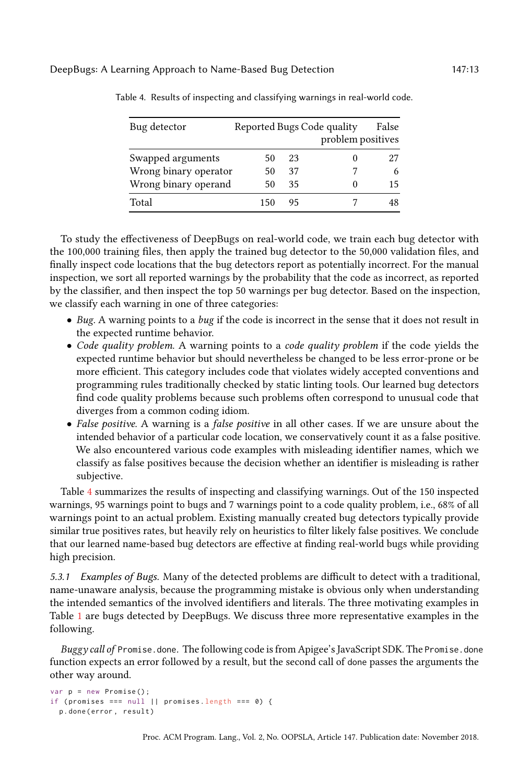| Bug detector          | Reported Bugs Code quality |    | False             |    |
|-----------------------|----------------------------|----|-------------------|----|
|                       |                            |    | problem positives |    |
| Swapped arguments     | 50                         | 23 |                   | 27 |
| Wrong binary operator | 50                         | 37 |                   |    |
| Wrong binary operand  | 50                         | 35 |                   | 15 |
| Total                 | 150                        | 95 |                   |    |

<span id="page-12-0"></span>Table 4. Results of inspecting and classifying warnings in real-world code.

To study the effectiveness of DeepBugs on real-world code, we train each bug detector with the 100,000 training files, then apply the trained bug detector to the 50,000 validation files, and finally inspect code locations that the bug detectors report as potentially incorrect. For the manual inspection, we sort all reported warnings by the probability that the code as incorrect, as reported by the classifier, and then inspect the top 50 warnings per bug detector. Based on the inspection, we classify each warning in one of three categories:

- $\bullet$  Bug. A warning points to a bug if the code is incorrect in the sense that it does not result in the expected runtime behavior.
- Code quality problem. A warning points to a code quality problem if the code yields the expected runtime behavior but should nevertheless be changed to be less error-prone or be more efficient. This category includes code that violates widely accepted conventions and programming rules traditionally checked by static linting tools. Our learned bug detectors find code quality problems because such problems often correspond to unusual code that diverges from a common coding idiom.
- False positive. A warning is a false positive in all other cases. If we are unsure about the intended behavior of a particular code location, we conservatively count it as a false positive. We also encountered various code examples with misleading identifier names, which we classify as false positives because the decision whether an identifier is misleading is rather subjective.

Table [4](#page-12-0) summarizes the results of inspecting and classifying warnings. Out of the 150 inspected warnings, 95 warnings point to bugs and 7 warnings point to a code quality problem, i.e., 68% of all warnings point to an actual problem. Existing manually created bug detectors typically provide similar true positives rates, but heavily rely on heuristics to filter likely false positives. We conclude that our learned name-based bug detectors are effective at finding real-world bugs while providing high precision.

5.3.1 Examples of Bugs. Many of the detected problems are difficult to detect with a traditional, name-unaware analysis, because the programming mistake is obvious only when understanding the intended semantics of the involved identifiers and literals. The three motivating examples in Table [1](#page-1-0) are bugs detected by DeepBugs. We discuss three more representative examples in the following.

Buggy call of Promise.done. The following code is from Apigee's JavaScript SDK. The Promise.done function expects an error followed by a result, but the second call of done passes the arguments the other way around.

```
var p = new Promise();
if (promises === null || promises length === 0) {
  p.done(error, result)
```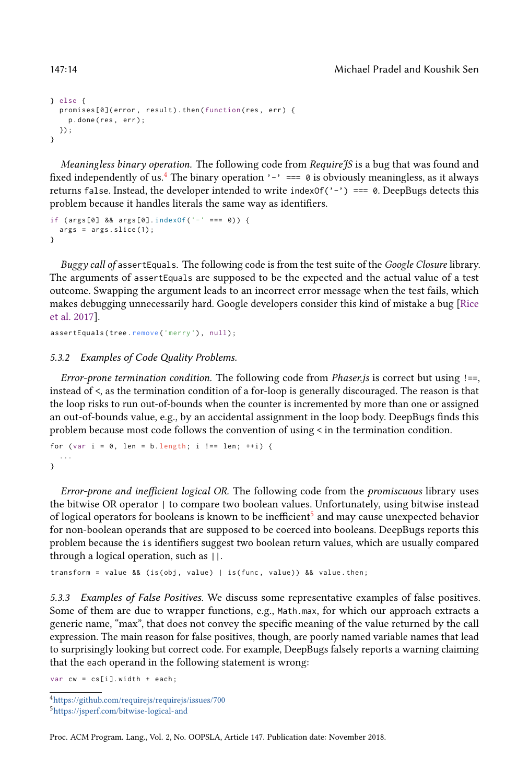```
} else {
  promises [0]( error, result). then (function (res, err) {
    p.done(res, err);
  }) ;
}
```
Meaningless binary operation. The following code from  $Request \mathcal{S}$  is a bug that was found and fixed independently of us.<sup>[4](#page-13-0)</sup> The binary operation '-' === 0 is obviously meaningless, as it always returns false. Instead, the developer intended to write indexOf('-') === 0. DeepBugs detects this problem because it handles literals the same way as identifiers.

```
if (args[0] && args[0]. indexOf('=' == 0)) {
 args = args.size(1);}
```
Buggy call of assertEquals. The following code is from the test suite of the Google Closure library. The arguments of assertEquals are supposed to be the expected and the actual value of a test outcome. Swapping the argument leads to an incorrect error message when the test fails, which makes debugging unnecessarily hard. Google developers consider this kind of mistake a bug [\[Rice](#page-23-2) [et al. 2017\]](#page-23-2).

assertEquals (tree.remove('merry'), null);

### <span id="page-13-2"></span>5.3.2 Examples of Code Quality Problems.

*Error-prone termination condition.* The following code from *Phaser.js* is correct but using  $!=$ , instead of <, as the termination condition of a for-loop is generally discouraged. The reason is that the loop risks to run out-of-bounds when the counter is incremented by more than one or assigned an out-of-bounds value, e.g., by an accidental assignment in the loop body. DeepBugs finds this problem because most code follows the convention of using < in the termination condition.

```
for (var i = 0, len = b.length; i := len; ++i) {
  ...
}
```
Error-prone and inefficient logical OR. The following code from the promiscuous library uses the bitwise OR operator | to compare two boolean values. Unfortunately, using bitwise instead of logical operators for booleans is known to be inefficient<sup>[5](#page-13-1)</sup> and may cause unexpected behavior for non-boolean operands that are supposed to be coerced into booleans. DeepBugs reports this problem because the is identifiers suggest two boolean return values, which are usually compared through a logical operation, such as ||.

```
transform = value && (is(obj, value) | is(func, value)) && value.then;
```
5.3.3 Examples of False Positives. We discuss some representative examples of false positives. Some of them are due to wrapper functions, e.g., Math.max, for which our approach extracts a generic name, "max", that does not convey the specific meaning of the value returned by the call expression. The main reason for false positives, though, are poorly named variable names that lead to surprisingly looking but correct code. For example, DeepBugs falsely reports a warning claiming that the each operand in the following statement is wrong:

var cw =  $cs[i] . width + each;$ 

<span id="page-13-0"></span><sup>4</sup><https://github.com/requirejs/requirejs/issues/700>

<span id="page-13-1"></span><sup>5</sup><https://jsperf.com/bitwise-logical-and>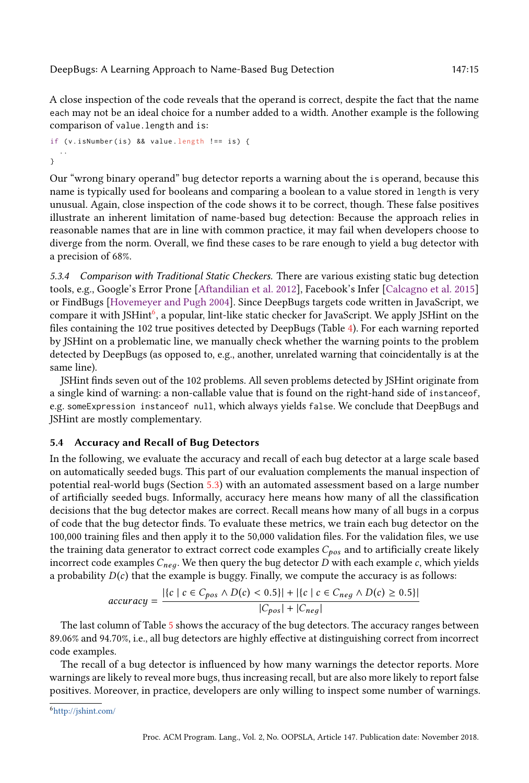A close inspection of the code reveals that the operand is correct, despite the fact that the name each may not be an ideal choice for a number added to a width. Another example is the following comparison of value.length and is:

```
if (v.isNumber(is) & value.length != = is)..
}
```
Our "wrong binary operand" bug detector reports a warning about the is operand, because this name is typically used for booleans and comparing a boolean to a value stored in length is very unusual. Again, close inspection of the code shows it to be correct, though. These false positives illustrate an inherent limitation of name-based bug detection: Because the approach relies in reasonable names that are in line with common practice, it may fail when developers choose to diverge from the norm. Overall, we find these cases to be rare enough to yield a bug detector with a precision of 68%.

5.3.4 Comparison with Traditional Static Checkers. There are various existing static bug detection tools, e.g., Google's Error Prone [\[Aftandilian et al.](#page-21-0) [2012\]](#page-21-0), Facebook's Infer [\[Calcagno et al.](#page-22-12) [2015\]](#page-22-12) or FindBugs [\[Hovemeyer and Pugh 2004\]](#page-22-2). Since DeepBugs targets code written in JavaScript, we compare it with JSHint<sup>[6](#page-14-1)</sup>, a popular, lint-like static checker for JavaScript. We apply JSHint on the files containing the 102 true positives detected by DeepBugs (Table [4\)](#page-12-0). For each warning reported by JSHint on a problematic line, we manually check whether the warning points to the problem detected by DeepBugs (as opposed to, e.g., another, unrelated warning that coincidentally is at the same line).

JSHint finds seven out of the 102 problems. All seven problems detected by JSHint originate from a single kind of warning: a non-callable value that is found on the right-hand side of instanceof, e.g. someExpression instanceof null, which always yields false. We conclude that DeepBugs and JSHint are mostly complementary.

### <span id="page-14-0"></span>5.4 Accuracy and Recall of Bug Detectors

In the following, we evaluate the accuracy and recall of each bug detector at a large scale based on automatically seeded bugs. This part of our evaluation complements the manual inspection of potential real-world bugs (Section [5.3\)](#page-11-1) with an automated assessment based on a large number of artificially seeded bugs. Informally, accuracy here means how many of all the classification decisions that the bug detector makes are correct. Recall means how many of all bugs in a corpus of code that the bug detector finds. To evaluate these metrics, we train each bug detector on the 100,000 training files and then apply it to the 50,000 validation files. For the validation files, we use the training data generator to extract correct code examples  $C_{pos}$  and to artificially create likely incorrect code examples  $C_{\text{nea}}$ . We then query the bug detector D with each example c, which yields a probability  $D(c)$  that the example is buggy. Finally, we compute the accuracy is as follows:

$$
accuracy = \frac{|\{c \mid c \in C_{pos} \land D(c) < 0.5\}| + |\{c \mid c \in C_{neg} \land D(c) \ge 0.5\}|}{|C_{pos}| + |C_{neg}|}
$$

The last column of Table [5](#page-15-0) shows the accuracy of the bug detectors. The accuracy ranges between 89.06% and 94.70%, i.e., all bug detectors are highly effective at distinguishing correct from incorrect code examples.

The recall of a bug detector is influenced by how many warnings the detector reports. More warnings are likely to reveal more bugs, thus increasing recall, but are also more likely to report false positives. Moreover, in practice, developers are only willing to inspect some number of warnings.

<span id="page-14-1"></span><sup>6</sup><http://jshint.com/>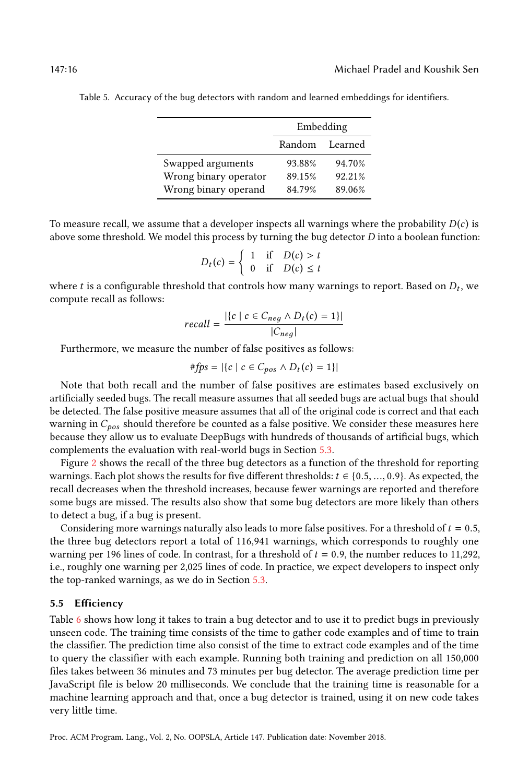|                       | Embedding      |        |
|-----------------------|----------------|--------|
|                       | Random Learned |        |
| Swapped arguments     | 93.88%         | 94.70% |
| Wrong binary operator | 89.15%         | 92.21% |
| Wrong binary operand  | 84.79%         | 89.06% |

<span id="page-15-0"></span>Table 5. Accuracy of the bug detectors with random and learned embeddings for identifiers.

To measure recall, we assume that a developer inspects all warnings where the probability  $D(c)$  is above some threshold. We model this process by turning the bug detector  $D$  into a boolean function:

$$
D_t(c) = \begin{cases} 1 & \text{if } D(c) > t \\ 0 & \text{if } D(c) \le t \end{cases}
$$

where  $t$  is a configurable threshold that controls how many warnings to report. Based on  $D_t$ , we compute recall as follows:

$$
recall = \frac{|\{c \mid c \in C_{neg} \land D_t(c) = 1\}|}{|C_{neg}|}
$$

Furthermore, we measure the number of false positives as follows:

$$
\#fps = |\{c \mid c \in C_{pos} \land D_t(c) = 1\}|
$$

Note that both recall and the number of false positives are estimates based exclusively on artificially seeded bugs. The recall measure assumes that all seeded bugs are actual bugs that should be detected. The false positive measure assumes that all of the original code is correct and that each warning in  $C_{pos}$  should therefore be counted as a false positive. We consider these measures here because they allow us to evaluate DeepBugs with hundreds of thousands of artificial bugs, which complements the evaluation with real-world bugs in Section [5.3.](#page-11-1)

Figure [2](#page-16-0) shows the recall of the three bug detectors as a function of the threshold for reporting warnings. Each plot shows the results for five different thresholds:  $t \in \{0.5, ..., 0.9\}$ . As expected, the recall decreases when the threshold increases, because fewer warnings are reported and therefore some bugs are missed. The results also show that some bug detectors are more likely than others to detect a bug, if a bug is present.

Considering more warnings naturally also leads to more false positives. For a threshold of  $t = 0.5$ , the three bug detectors report a total of 116,941 warnings, which corresponds to roughly one warning per 196 lines of code. In contrast, for a threshold of  $t = 0.9$ , the number reduces to 11,292, i.e., roughly one warning per 2,025 lines of code. In practice, we expect developers to inspect only the top-ranked warnings, as we do in Section [5.3.](#page-11-1)

#### 5.5 Efficiency

Table [6](#page-16-1) shows how long it takes to train a bug detector and to use it to predict bugs in previously unseen code. The training time consists of the time to gather code examples and of time to train the classifier. The prediction time also consist of the time to extract code examples and of the time to query the classifier with each example. Running both training and prediction on all 150,000 files takes between 36 minutes and 73 minutes per bug detector. The average prediction time per JavaScript file is below 20 milliseconds. We conclude that the training time is reasonable for a machine learning approach and that, once a bug detector is trained, using it on new code takes very little time.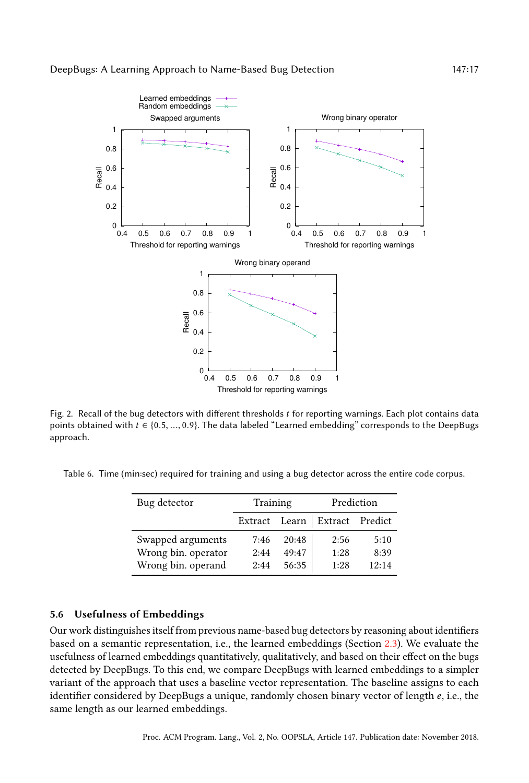<span id="page-16-0"></span>

Fig. 2. Recall of the bug detectors with different thresholds  $t$  for reporting warnings. Each plot contains data points obtained with  $t \in \{0.5, ..., 0.9\}$ . The data labeled "Learned embedding" corresponds to the DeepBugs approach.

<span id="page-16-1"></span>Table 6. Time (min:sec) required for training and using a bug detector across the entire code corpus.

| Bug detector        | Training |       | Prediction                      |       |  |
|---------------------|----------|-------|---------------------------------|-------|--|
|                     |          |       | Extract Learn   Extract Predict |       |  |
| Swapped arguments   | 7:46     | 20:48 | 2:56                            | 5:10  |  |
| Wrong bin. operator | 2:44     | 49:47 | 1:28                            | 8:39  |  |
| Wrong bin. operand  | 2:44     | 56:35 | 1:28                            | 12:14 |  |

### 5.6 Usefulness of Embeddings

Our work distinguishes itself from previous name-based bug detectors by reasoning about identifiers based on a semantic representation, i.e., the learned embeddings (Section [2.3\)](#page-5-1). We evaluate the usefulness of learned embeddings quantitatively, qualitatively, and based on their effect on the bugs detected by DeepBugs. To this end, we compare DeepBugs with learned embeddings to a simpler variant of the approach that uses a baseline vector representation. The baseline assigns to each identifier considered by DeepBugs a unique, randomly chosen binary vector of length e, i.e., the same length as our learned embeddings.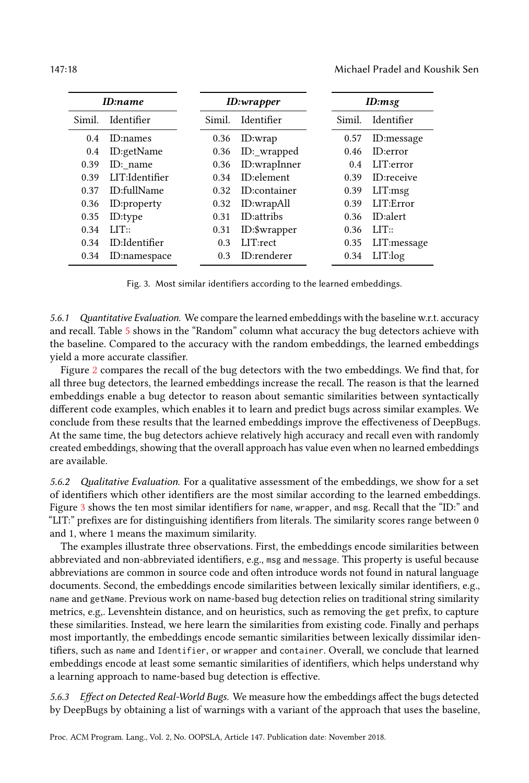<span id="page-17-0"></span>

| ID: name |                 | <b>ID:wrapper</b> |                     | $ID:$ msg |        |                 |
|----------|-----------------|-------------------|---------------------|-----------|--------|-----------------|
| Simil.   | Identifier      | Simil.            | Identifier          |           | Simil. | Identifier      |
| 0.4      | ID:names        | 0.36              | ID:wrap             |           | 0.57   | ID: message     |
| 0.4      | ID:getName      | 0.36              | ID:_wrapped         |           | 0.46   | ID:error        |
| 0.39     | ID: name        | 0.36              | ID:wrapInner        |           | 0.4    | LIT:error       |
| 0.39     | LIT: Identifier | 0.34              | ID:element          |           | 0.39   | ID:receive      |
| 0.37     | ID:fullName     | 0.32              | <b>ID:container</b> |           | 0.39   | LIT: msg        |
| 0.36     | ID:property     | 0.32              | ID:wrapAll          |           | 0.39   | LIT:Error       |
| 0.35     | ID:type         | 0.31              | <b>ID:</b> attribs  |           | 0.36   | <b>ID:alert</b> |
| 0.34     | LTT::           | 0.31              | ID:\$wrapper        |           | 0.36   | $LTT$ ::        |
| 0.34     | ID:Identifier   | 0.3               | LIT:rect            |           | 0.35   | LIT:message     |
| 0.34     | ID:namespace    | 0.3               | ID:renderer         |           | 0.34   | LIT:log         |

Fig. 3. Most similar identifiers according to the learned embeddings.

5.6.1 Quantitative Evaluation. We compare the learned embeddings with the baseline w.r.t. accuracy and recall. Table [5](#page-15-0) shows in the "Random" column what accuracy the bug detectors achieve with the baseline. Compared to the accuracy with the random embeddings, the learned embeddings yield a more accurate classifier.

Figure [2](#page-16-0) compares the recall of the bug detectors with the two embeddings. We find that, for all three bug detectors, the learned embeddings increase the recall. The reason is that the learned embeddings enable a bug detector to reason about semantic similarities between syntactically different code examples, which enables it to learn and predict bugs across similar examples. We conclude from these results that the learned embeddings improve the effectiveness of DeepBugs. At the same time, the bug detectors achieve relatively high accuracy and recall even with randomly created embeddings, showing that the overall approach has value even when no learned embeddings are available.

5.6.2 Qualitative Evaluation. For a qualitative assessment of the embeddings, we show for a set of identifiers which other identifiers are the most similar according to the learned embeddings. Figure [3](#page-17-0) shows the ten most similar identifiers for name, wrapper, and msg. Recall that the "ID:" and "LIT:" prefixes are for distinguishing identifiers from literals. The similarity scores range between 0 and 1, where 1 means the maximum similarity.

The examples illustrate three observations. First, the embeddings encode similarities between abbreviated and non-abbreviated identifiers, e.g., msg and message. This property is useful because abbreviations are common in source code and often introduce words not found in natural language documents. Second, the embeddings encode similarities between lexically similar identifiers, e.g., name and getName. Previous work on name-based bug detection relies on traditional string similarity metrics, e.g,. Levenshtein distance, and on heuristics, such as removing the get prefix, to capture these similarities. Instead, we here learn the similarities from existing code. Finally and perhaps most importantly, the embeddings encode semantic similarities between lexically dissimilar identifiers, such as name and Identifier, or wrapper and container. Overall, we conclude that learned embeddings encode at least some semantic similarities of identifiers, which helps understand why a learning approach to name-based bug detection is effective.

5.6.3 Effect on Detected Real-World Bugs. We measure how the embeddings affect the bugs detected by DeepBugs by obtaining a list of warnings with a variant of the approach that uses the baseline,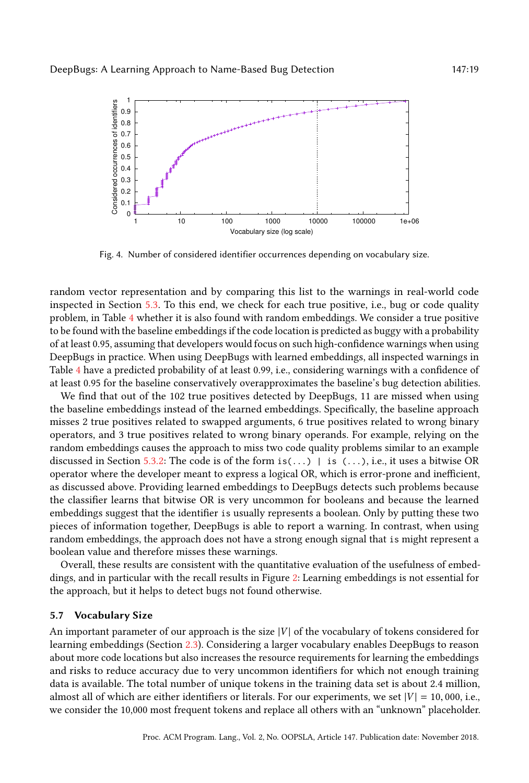<span id="page-18-1"></span>

Fig. 4. Number of considered identifier occurrences depending on vocabulary size.

random vector representation and by comparing this list to the warnings in real-world code inspected in Section [5.3.](#page-11-1) To this end, we check for each true positive, i.e., bug or code quality problem, in Table [4](#page-12-0) whether it is also found with random embeddings. We consider a true positive to be found with the baseline embeddings if the code location is predicted as buggy with a probability of at least 0.95, assuming that developers would focus on such high-confidence warnings when using DeepBugs in practice. When using DeepBugs with learned embeddings, all inspected warnings in Table [4](#page-12-0) have a predicted probability of at least 0.99, i.e., considering warnings with a confidence of at least 0.95 for the baseline conservatively overapproximates the baseline's bug detection abilities.

We find that out of the 102 true positives detected by DeepBugs, 11 are missed when using the baseline embeddings instead of the learned embeddings. Specifically, the baseline approach misses 2 true positives related to swapped arguments, 6 true positives related to wrong binary operators, and 3 true positives related to wrong binary operands. For example, relying on the random embeddings causes the approach to miss two code quality problems similar to an example discussed in Section [5.3.2:](#page-13-2) The code is of the form  $is(...)$  | is  $(...)$ , i.e., it uses a bitwise OR operator where the developer meant to express a logical OR, which is error-prone and inefficient, as discussed above. Providing learned embeddings to DeepBugs detects such problems because the classifier learns that bitwise OR is very uncommon for booleans and because the learned embeddings suggest that the identifier is usually represents a boolean. Only by putting these two pieces of information together, DeepBugs is able to report a warning. In contrast, when using random embeddings, the approach does not have a strong enough signal that is might represent a boolean value and therefore misses these warnings.

Overall, these results are consistent with the quantitative evaluation of the usefulness of embeddings, and in particular with the recall results in Figure [2:](#page-16-0) Learning embeddings is not essential for the approach, but it helps to detect bugs not found otherwise.

#### <span id="page-18-0"></span>5.7 Vocabulary Size

An important parameter of our approach is the size  $|V|$  of the vocabulary of tokens considered for learning embeddings (Section [2.3\)](#page-5-1). Considering a larger vocabulary enables DeepBugs to reason about more code locations but also increases the resource requirements for learning the embeddings and risks to reduce accuracy due to very uncommon identifiers for which not enough training data is available. The total number of unique tokens in the training data set is about 2.4 million, almost all of which are either identifiers or literals. For our experiments, we set  $|V| = 10,000$ , i.e., we consider the 10,000 most frequent tokens and replace all others with an "unknown" placeholder.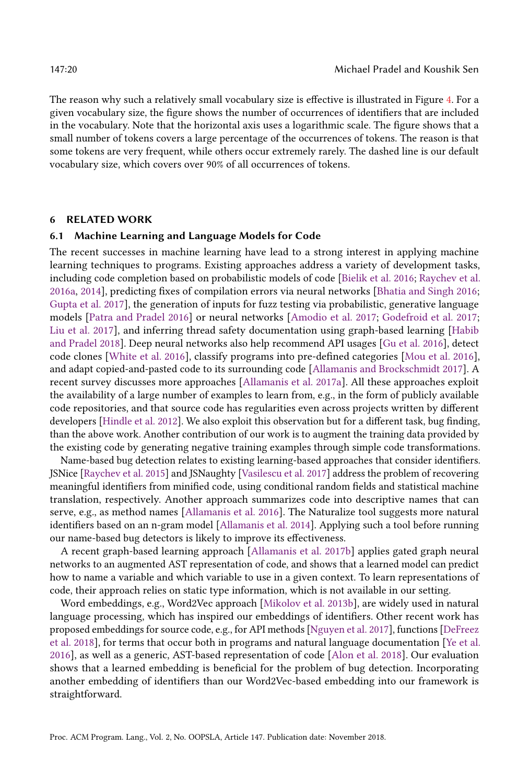The reason why such a relatively small vocabulary size is effective is illustrated in Figure [4.](#page-18-1) For a given vocabulary size, the figure shows the number of occurrences of identifiers that are included in the vocabulary. Note that the horizontal axis uses a logarithmic scale. The figure shows that a small number of tokens covers a large percentage of the occurrences of tokens. The reason is that some tokens are very frequent, while others occur extremely rarely. The dashed line is our default vocabulary size, which covers over 90% of all occurrences of tokens.

#### 6 RELATED WORK

### 6.1 Machine Learning and Language Models for Code

The recent successes in machine learning have lead to a strong interest in applying machine learning techniques to programs. Existing approaches address a variety of development tasks, including code completion based on probabilistic models of code [\[Bielik et al. 2016;](#page-22-6) [Raychev et al.](#page-23-10) [2016a,](#page-23-10) [2014\]](#page-23-11), predicting fixes of compilation errors via neural networks [\[Bhatia and Singh 2016;](#page-22-13) [Gupta et al.](#page-22-14) [2017\]](#page-22-14), the generation of inputs for fuzz testing via probabilistic, generative language models [\[Patra and Pradel 2016\]](#page-23-12) or neural networks [\[Amodio et al.](#page-22-15) [2017;](#page-22-15) [Godefroid et al.](#page-22-16) [2017;](#page-22-16) [Liu et al.](#page-23-13) [2017\]](#page-23-13), and inferring thread safety documentation using graph-based learning [\[Habib](#page-22-17) [and Pradel 2018\]](#page-22-17). Deep neural networks also help recommend API usages [\[Gu et al.](#page-22-18) [2016\]](#page-22-18), detect code clones [\[White et al.](#page-24-1) [2016\]](#page-24-1), classify programs into pre-defined categories [\[Mou et al.](#page-23-14) [2016\]](#page-23-14), and adapt copied-and-pasted code to its surrounding code [\[Allamanis and Brockschmidt 2017\]](#page-21-1). A recent survey discusses more approaches [\[Allamanis et al.](#page-21-2) [2017a\]](#page-21-2). All these approaches exploit the availability of a large number of examples to learn from, e.g., in the form of publicly available code repositories, and that source code has regularities even across projects written by different developers [\[Hindle et al.](#page-22-19) [2012\]](#page-22-19). We also exploit this observation but for a different task, bug finding, than the above work. Another contribution of our work is to augment the training data provided by the existing code by generating negative training examples through simple code transformations.

Name-based bug detection relates to existing learning-based approaches that consider identifiers. JSNice [\[Raychev et al.](#page-23-6) [2015\]](#page-23-6) and JSNaughty [\[Vasilescu et al.](#page-23-15) [2017\]](#page-23-15) address the problem of recovering meaningful identifiers from minified code, using conditional random fields and statistical machine translation, respectively. Another approach summarizes code into descriptive names that can serve, e.g., as method names [\[Allamanis et al.](#page-21-3) [2016\]](#page-21-3). The Naturalize tool suggests more natural identifiers based on an n-gram model [\[Allamanis et al.](#page-21-4) [2014\]](#page-21-4). Applying such a tool before running our name-based bug detectors is likely to improve its effectiveness.

A recent graph-based learning approach [\[Allamanis et al.](#page-21-5) [2017b\]](#page-21-5) applies gated graph neural networks to an augmented AST representation of code, and shows that a learned model can predict how to name a variable and which variable to use in a given context. To learn representations of code, their approach relies on static type information, which is not available in our setting.

Word embeddings, e.g., Word2Vec approach [\[Mikolov et al.](#page-23-4) [2013b\]](#page-23-4), are widely used in natural language processing, which has inspired our embeddings of identifiers. Other recent work has proposed embeddings for source code, e.g., for API methods [\[Nguyen et al.](#page-23-16) [2017\]](#page-23-16), functions [\[DeFreez](#page-22-20) [et al.](#page-22-20) [2018\]](#page-22-20), for terms that occur both in programs and natural language documentation [\[Ye et al.](#page-24-2) [2016\]](#page-24-2), as well as a generic, AST-based representation of code [\[Alon et al.](#page-21-6) [2018\]](#page-21-6). Our evaluation shows that a learned embedding is beneficial for the problem of bug detection. Incorporating another embedding of identifiers than our Word2Vec-based embedding into our framework is straightforward.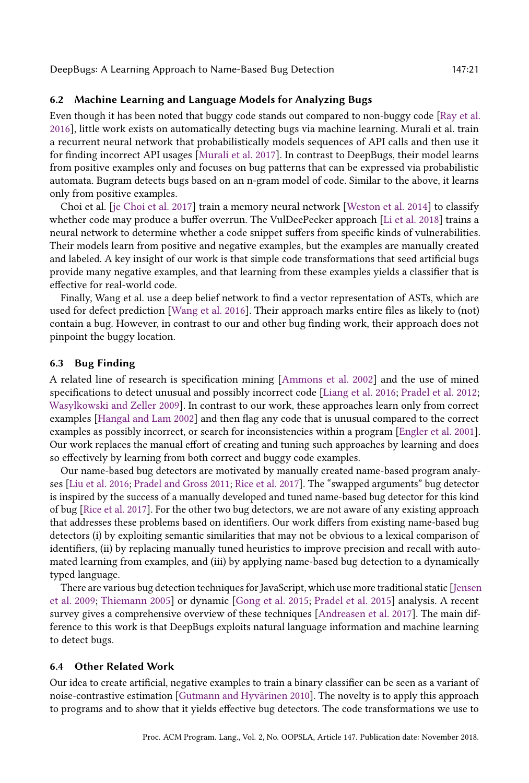### 6.2 Machine Learning and Language Models for Analyzing Bugs

Even though it has been noted that buggy code stands out compared to non-buggy code [\[Ray et al.](#page-23-17) [2016\]](#page-23-17), little work exists on automatically detecting bugs via machine learning. Murali et al. train a recurrent neural network that probabilistically models sequences of API calls and then use it for finding incorrect API usages [\[Murali et al.](#page-23-18) [2017\]](#page-23-18). In contrast to DeepBugs, their model learns from positive examples only and focuses on bug patterns that can be expressed via probabilistic automata. Bugram detects bugs based on an n-gram model of code. Similar to the above, it learns only from positive examples.

Choi et al. [\[je Choi et al.](#page-22-21) [2017\]](#page-22-21) train a memory neural network [\[Weston et al.](#page-24-3) [2014\]](#page-24-3) to classify whether code may produce a buffer overrun. The VulDeePecker approach [\[Li et al.](#page-23-19) [2018\]](#page-23-19) trains a neural network to determine whether a code snippet suffers from specific kinds of vulnerabilities. Their models learn from positive and negative examples, but the examples are manually created and labeled. A key insight of our work is that simple code transformations that seed artificial bugs provide many negative examples, and that learning from these examples yields a classifier that is effective for real-world code.

Finally, Wang et al. use a deep belief network to find a vector representation of ASTs, which are used for defect prediction [\[Wang et al.](#page-24-4) [2016\]](#page-24-4). Their approach marks entire files as likely to (not) contain a bug. However, in contrast to our and other bug finding work, their approach does not pinpoint the buggy location.

### 6.3 Bug Finding

A related line of research is specification mining [\[Ammons et al.](#page-21-7) [2002\]](#page-21-7) and the use of mined specifications to detect unusual and possibly incorrect code [\[Liang et al.](#page-23-20) [2016;](#page-23-20) [Pradel et al.](#page-23-21) [2012;](#page-23-21) [Wasylkowski and Zeller 2009\]](#page-24-5). In contrast to our work, these approaches learn only from correct examples [\[Hangal and Lam 2002\]](#page-22-5) and then flag any code that is unusual compared to the correct examples as possibly incorrect, or search for inconsistencies within a program [\[Engler et al.](#page-22-4) [2001\]](#page-22-4). Our work replaces the manual effort of creating and tuning such approaches by learning and does so effectively by learning from both correct and buggy code examples.

Our name-based bug detectors are motivated by manually created name-based program analy-ses [\[Liu et al.](#page-23-0) [2016;](#page-23-0) [Pradel and Gross 2011;](#page-23-1) [Rice et al.](#page-23-2) [2017\]](#page-23-2). The "swapped arguments" bug detector is inspired by the success of a manually developed and tuned name-based bug detector for this kind of bug [\[Rice et al.](#page-23-2) [2017\]](#page-23-2). For the other two bug detectors, we are not aware of any existing approach that addresses these problems based on identifiers. Our work differs from existing name-based bug detectors (i) by exploiting semantic similarities that may not be obvious to a lexical comparison of identifiers, (ii) by replacing manually tuned heuristics to improve precision and recall with automated learning from examples, and (iii) by applying name-based bug detection to a dynamically typed language.

There are various bug detection techniques for JavaScript, which use more traditional static [\[Jensen](#page-22-22) [et al.](#page-22-22) [2009;](#page-22-22) [Thiemann 2005\]](#page-23-22) or dynamic [\[Gong et al.](#page-22-23) [2015;](#page-22-23) [Pradel et al.](#page-23-23) [2015\]](#page-23-23) analysis. A recent survey gives a comprehensive overview of these techniques [\[Andreasen et al.](#page-22-24) [2017\]](#page-22-24). The main difference to this work is that DeepBugs exploits natural language information and machine learning to detect bugs.

### 6.4 Other Related Work

Our idea to create artificial, negative examples to train a binary classifier can be seen as a variant of noise-contrastive estimation [\[Gutmann and Hyvärinen 2010\]](#page-22-25). The novelty is to apply this approach to programs and to show that it yields effective bug detectors. The code transformations we use to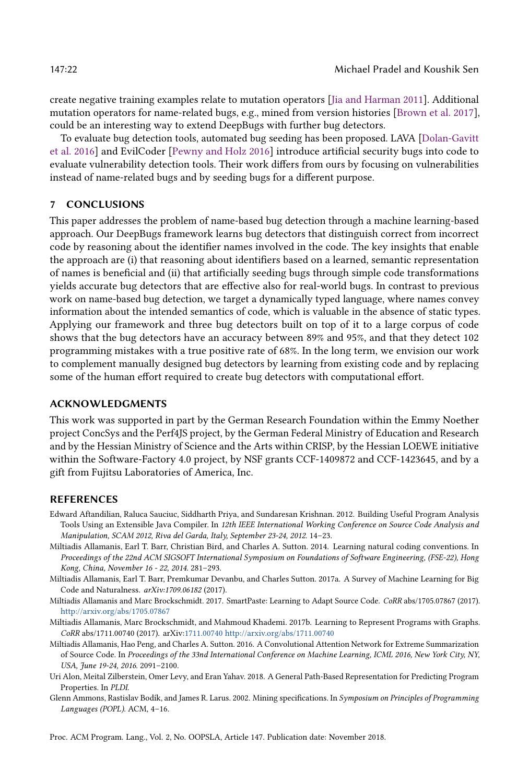create negative training examples relate to mutation operators [\[Jia and Harman 2011\]](#page-22-7). Additional mutation operators for name-related bugs, e.g., mined from version histories [\[Brown et al.](#page-22-9) [2017\]](#page-22-9), could be an interesting way to extend DeepBugs with further bug detectors.

To evaluate bug detection tools, automated bug seeding has been proposed. LAVA [\[Dolan-Gavitt](#page-22-8) [et al.](#page-22-8) [2016\]](#page-22-8) and EvilCoder [\[Pewny and Holz 2016\]](#page-23-7) introduce artificial security bugs into code to evaluate vulnerability detection tools. Their work differs from ours by focusing on vulnerabilities instead of name-related bugs and by seeding bugs for a different purpose.

# 7 CONCLUSIONS

This paper addresses the problem of name-based bug detection through a machine learning-based approach. Our DeepBugs framework learns bug detectors that distinguish correct from incorrect code by reasoning about the identifier names involved in the code. The key insights that enable the approach are (i) that reasoning about identifiers based on a learned, semantic representation of names is beneficial and (ii) that artificially seeding bugs through simple code transformations yields accurate bug detectors that are effective also for real-world bugs. In contrast to previous work on name-based bug detection, we target a dynamically typed language, where names convey information about the intended semantics of code, which is valuable in the absence of static types. Applying our framework and three bug detectors built on top of it to a large corpus of code shows that the bug detectors have an accuracy between 89% and 95%, and that they detect 102 programming mistakes with a true positive rate of 68%. In the long term, we envision our work to complement manually designed bug detectors by learning from existing code and by replacing some of the human effort required to create bug detectors with computational effort.

### ACKNOWLEDGMENTS

This work was supported in part by the German Research Foundation within the Emmy Noether project ConcSys and the Perf4JS project, by the German Federal Ministry of Education and Research and by the Hessian Ministry of Science and the Arts within CRISP, by the Hessian LOEWE initiative within the Software-Factory 4.0 project, by NSF grants CCF-1409872 and CCF-1423645, and by a gift from Fujitsu Laboratories of America, Inc.

### **REFERENCES**

- <span id="page-21-0"></span>Edward Aftandilian, Raluca Sauciuc, Siddharth Priya, and Sundaresan Krishnan. 2012. Building Useful Program Analysis Tools Using an Extensible Java Compiler. In 12th IEEE International Working Conference on Source Code Analysis and Manipulation, SCAM 2012, Riva del Garda, Italy, September 23-24, 2012. 14-23.
- <span id="page-21-4"></span>Miltiadis Allamanis, Earl T. Barr, Christian Bird, and Charles A. Sutton. 2014. Learning natural coding conventions. In Proceedings of the 22nd ACM SIGSOFT International Symposium on Foundations of Software Engineering, (FSE-22), Hong Kong, China, November 16 - 22, 2014. 281-293.
- <span id="page-21-2"></span>Miltiadis Allamanis, Earl T. Barr, Premkumar Devanbu, and Charles Sutton. 2017a. A Survey of Machine Learning for Big Code and Naturalness. arXiv:1709.06182 (2017).
- <span id="page-21-1"></span>Miltiadis Allamanis and Marc Brockschmidt. 2017. SmartPaste: Learning to Adapt Source Code. CoRR abs/1705.07867 (2017). <http://arxiv.org/abs/1705.07867>
- <span id="page-21-5"></span>Miltiadis Allamanis, Marc Brockschmidt, and Mahmoud Khademi. 2017b. Learning to Represent Programs with Graphs. CoRR abs/1711.00740 (2017). arXiv[:1711.00740 http://arxiv.org/abs/1711.00740](http://arxiv.org/abs/1711.00740)
- <span id="page-21-3"></span>Miltiadis Allamanis, Hao Peng, and Charles A. Sutton. 2016. A Convolutional Attention Network for Extreme Summarization of Source Code. In Proceedings of the 33nd International Conference on Machine Learning, ICML 2016, New York City, NY, USA, June 19-24, 2016. 2091-2100.
- <span id="page-21-6"></span>Uri Alon, Meital Zilberstein, Omer Levy, and Eran Yahav. 2018. A General Path-Based Representation for Predicting Program Properties. In PLDI.
- <span id="page-21-7"></span>Glenn Ammons, Rastislav Bodík, and James R. Larus. 2002. Mining specifications. In Symposium on Principles of Programming Languages (POPL). ACM, 4-16.

Proc. ACM Program. Lang., Vol. 2, No. OOPSLA, Article 147. Publication date: November 2018.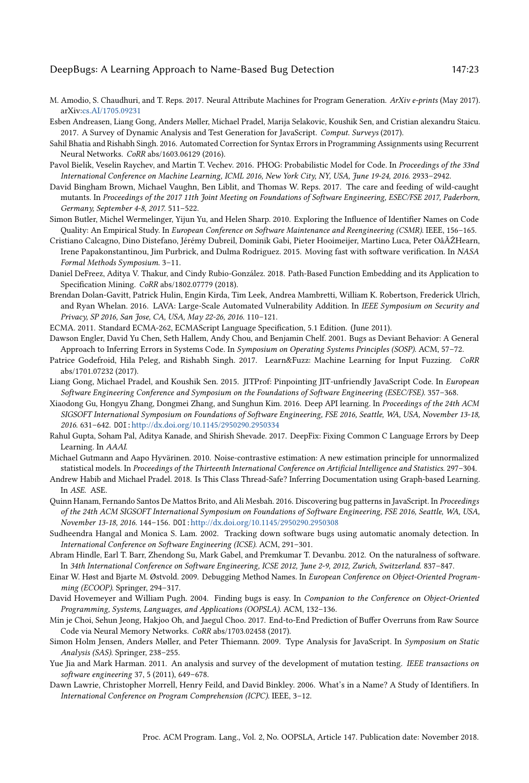- <span id="page-22-15"></span>M. Amodio, S. Chaudhuri, and T. Reps. 2017. Neural Attribute Machines for Program Generation. ArXiv e-prints (May 2017). arXiv[:cs.AI/1705.09231](http://arxiv.org/abs/cs.AI/1705.09231)
- <span id="page-22-24"></span>Esben Andreasen, Liang Gong, Anders Mùller, Michael Pradel, Marija Selakovic, Koushik Sen, and Cristian alexandru Staicu. 2017. A Survey of Dynamic Analysis and Test Generation for JavaScript. Comput. Surveys (2017).
- <span id="page-22-13"></span>Sahil Bhatia and Rishabh Singh. 2016. Automated Correction for Syntax Errors in Programming Assignments using Recurrent Neural Networks. CoRR abs/1603.06129 (2016).
- <span id="page-22-6"></span>Pavol Bielik, Veselin Raychev, and Martin T. Vechev. 2016. PHOG: Probabilistic Model for Code. In Proceedings of the 33nd International Conference on Machine Learning, ICML 2016, New York City, NY, USA, June 19-24, 2016. 2933-2942.
- <span id="page-22-9"></span>David Bingham Brown, Michael Vaughn, Ben Liblit, and Thomas W. Reps. 2017. The care and feeding of wild-caught mutants. In Proceedings of the 2017 11th Joint Meeting on Foundations of Software Engineering, ESEC/FSE 2017, Paderborn, Germany, September 4-8, 2017. 511-522.
- <span id="page-22-0"></span>Simon Butler, Michel Wermelinger, Yijun Yu, and Helen Sharp. 2010. Exploring the Influence of Identifier Names on Code Quality: An Empirical Study. In European Conference on Software Maintenance and Reengineering (CSMR). IEEE, 156-165.
- <span id="page-22-12"></span>Cristiano Calcagno, Dino Distefano, Jérémy Dubreil, Dominik Gabi, Pieter Hooimeijer, Martino Luca, Peter OâĂŹHearn, Irene Papakonstantinou, Jim Purbrick, and Dulma Rodriguez. 2015. Moving fast with software verification. In NASA Formal Methods Symposium. 3-11.
- <span id="page-22-20"></span>Daniel DeFreez, Aditya V. Thakur, and Cindy Rubio-González. 2018. Path-Based Function Embedding and its Application to Specification Mining. CoRR abs/1802.07779 (2018).
- <span id="page-22-8"></span>Brendan Dolan-Gavitt, Patrick Hulin, Engin Kirda, Tim Leek, Andrea Mambretti, William K. Robertson, Frederick Ulrich, and Ryan Whelan. 2016. LAVA: Large-Scale Automated Vulnerability Addition. In IEEE Symposium on Security and Privacy, SP 2016, San Jose, CA, USA, May 22-26, 2016. 110-121.
- <span id="page-22-11"></span>ECMA. 2011. Standard ECMA-262, ECMAScript Language Specification, 5.1 Edition. (June 2011).
- <span id="page-22-4"></span>Dawson Engler, David Yu Chen, Seth Hallem, Andy Chou, and Benjamin Chelf. 2001. Bugs as Deviant Behavior: A General Approach to Inferring Errors in Systems Code. In Symposium on Operating Systems Principles (SOSP). ACM, 57-72.
- <span id="page-22-16"></span>Patrice Godefroid, Hila Peleg, and Rishabh Singh. 2017. Learn&Fuzz: Machine Learning for Input Fuzzing. CoRR abs/1701.07232 (2017).
- <span id="page-22-23"></span>Liang Gong, Michael Pradel, and Koushik Sen. 2015. JITProf: Pinpointing JIT-unfriendly JavaScript Code. In European Software Engineering Conference and Symposium on the Foundations of Software Engineering (ESEC/FSE). 357-368.
- <span id="page-22-18"></span>Xiaodong Gu, Hongyu Zhang, Dongmei Zhang, and Sunghun Kim. 2016. Deep API learning. In Proceedings of the 24th ACM SIGSOFT International Symposium on Foundations of Software Engineering, FSE 2016, Seattle, WA, USA, November 13-18, 2016. 631-642. DOI:<http://dx.doi.org/10.1145/2950290.2950334>
- <span id="page-22-14"></span>Rahul Gupta, Soham Pal, Aditya Kanade, and Shirish Shevade. 2017. DeepFix: Fixing Common C Language Errors by Deep Learning. In AAAI.
- <span id="page-22-25"></span>Michael Gutmann and Aapo Hyvärinen. 2010. Noise-contrastive estimation: A new estimation principle for unnormalized statistical models. In Proceedings of the Thirteenth International Conference on Artificial Intelligence and Statistics. 297-304.
- <span id="page-22-17"></span>Andrew Habib and Michael Pradel. 2018. Is This Class Thread-Safe? Inferring Documentation using Graph-based Learning. In ASE. ASE.
- <span id="page-22-10"></span>Quinn Hanam, Fernando Santos De Mattos Brito, and Ali Mesbah. 2016. Discovering bug patterns in JavaScript. In Proceedings of the 24th ACM SIGSOFT International Symposium on Foundations of Software Engineering, FSE 2016, Seattle, WA, USA, November 13-18, 2016. 144-156. DOI:<http://dx.doi.org/10.1145/2950290.2950308>
- <span id="page-22-5"></span>Sudheendra Hangal and Monica S. Lam. 2002. Tracking down software bugs using automatic anomaly detection. In International Conference on Software Engineering (ICSE). ACM, 291-301.
- <span id="page-22-19"></span>Abram Hindle, Earl T. Barr, Zhendong Su, Mark Gabel, and Premkumar T. Devanbu. 2012. On the naturalness of software. In 34th International Conference on Software Engineering, ICSE 2012, June 2-9, 2012, Zurich, Switzerland. 837-847.
- <span id="page-22-3"></span>Einar W. Hùst and Bjarte M. Østvold. 2009. Debugging Method Names. In European Conference on Object-Oriented Programming (ECOOP). Springer, 294-317.
- <span id="page-22-2"></span>David Hovemeyer and William Pugh. 2004. Finding bugs is easy. In Companion to the Conference on Object-Oriented Programming, Systems, Languages, and Applications (OOPSLA). ACM, 132-136.
- <span id="page-22-21"></span>Min je Choi, Sehun Jeong, Hakjoo Oh, and Jaegul Choo. 2017. End-to-End Prediction of Buffer Overruns from Raw Source Code via Neural Memory Networks. CoRR abs/1703.02458 (2017).
- <span id="page-22-22"></span>Simon Holm Jensen, Anders Mùller, and Peter Thiemann. 2009. Type Analysis for JavaScript. In Symposium on Static Analysis (SAS). Springer, 238-255.
- <span id="page-22-7"></span>Yue Jia and Mark Harman. 2011. An analysis and survey of the development of mutation testing. IEEE transactions on software engineering 37, 5 (2011), 649-678.
- <span id="page-22-1"></span>Dawn Lawrie, Christopher Morrell, Henry Feild, and David Binkley. 2006. What's in a Name? A Study of Identifiers. In International Conference on Program Comprehension (ICPC). IEEE, 3-12.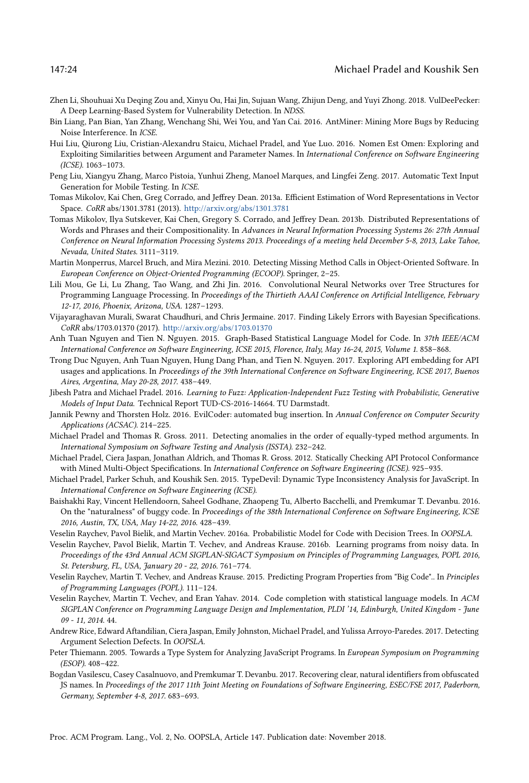#### 147:24 Michael Pradel and Koushik Sen

- <span id="page-23-19"></span>Zhen Li, Shouhuai Xu Deqing Zou and, Xinyu Ou, Hai Jin, Sujuan Wang, Zhijun Deng, and Yuyi Zhong. 2018. VulDeePecker: A Deep Learning-Based System for Vulnerability Detection. In NDSS.
- <span id="page-23-20"></span>Bin Liang, Pan Bian, Yan Zhang, Wenchang Shi, Wei You, and Yan Cai. 2016. AntMiner: Mining More Bugs by Reducing Noise Interference. In ICSE.
- <span id="page-23-0"></span>Hui Liu, Qiurong Liu, Cristian-Alexandru Staicu, Michael Pradel, and Yue Luo. 2016. Nomen Est Omen: Exploring and Exploiting Similarities between Argument and Parameter Names. In International Conference on Software Engineering  $(ICSE)$ . 1063-1073.
- <span id="page-23-13"></span>Peng Liu, Xiangyu Zhang, Marco Pistoia, Yunhui Zheng, Manoel Marques, and Lingfei Zeng. 2017. Automatic Text Input Generation for Mobile Testing. In ICSE.
- <span id="page-23-8"></span>Tomas Mikolov, Kai Chen, Greg Corrado, and Jeffrey Dean. 2013a. Efficient Estimation of Word Representations in Vector Space. CoRR abs/1301.3781 (2013). <http://arxiv.org/abs/1301.3781>
- <span id="page-23-4"></span>Tomas Mikolov, Ilya Sutskever, Kai Chen, Gregory S. Corrado, and Jeffrey Dean. 2013b. Distributed Representations of Words and Phrases and their Compositionality. In Advances in Neural Information Processing Systems 26: 27th Annual Conference on Neural Information Processing Systems 2013. Proceedings of a meeting held December 5-8, 2013, Lake Tahoe, Nevada, United States. 3111-3119.
- <span id="page-23-3"></span>Martin Monperrus, Marcel Bruch, and Mira Mezini. 2010. Detecting Missing Method Calls in Object-Oriented Software. In European Conference on Object-Oriented Programming (ECOOP). Springer, 2-25.
- <span id="page-23-14"></span>Lili Mou, Ge Li, Lu Zhang, Tao Wang, and Zhi Jin. 2016. Convolutional Neural Networks over Tree Structures for Programming Language Processing. In Proceedings of the Thirtieth AAAI Conference on Artificial Intelligence, February 12-17, 2016, Phoenix, Arizona, USA. 1287-1293.
- <span id="page-23-18"></span>Vijayaraghavan Murali, Swarat Chaudhuri, and Chris Jermaine. 2017. Finding Likely Errors with Bayesian Specifications. CoRR abs/1703.01370 (2017). <http://arxiv.org/abs/1703.01370>
- <span id="page-23-5"></span>Anh Tuan Nguyen and Tien N. Nguyen. 2015. Graph-Based Statistical Language Model for Code. In 37th IEEE/ACM International Conference on Software Engineering, ICSE 2015, Florence, Italy, May 16-24, 2015, Volume 1. 858-868.
- <span id="page-23-16"></span>Trong Duc Nguyen, Anh Tuan Nguyen, Hung Dang Phan, and Tien N. Nguyen. 2017. Exploring API embedding for API usages and applications. In Proceedings of the 39th International Conference on Software Engineering, ICSE 2017, Buenos Aires, Argentina, May 20-28, 2017. 438-449.
- <span id="page-23-12"></span>Jibesh Patra and Michael Pradel. 2016. Learning to Fuzz: Application-Independent Fuzz Testing with Probabilistic, Generative Models of Input Data. Technical Report TUD-CS-2016-14664. TU Darmstadt.
- <span id="page-23-7"></span>Jannik Pewny and Thorsten Holz. 2016. EvilCoder: automated bug insertion. In Annual Conference on Computer Security Applications (ACSAC). 214-225.
- <span id="page-23-1"></span>Michael Pradel and Thomas R. Gross. 2011. Detecting anomalies in the order of equally-typed method arguments. In International Symposium on Software Testing and Analysis (ISSTA). 232-242.
- <span id="page-23-21"></span>Michael Pradel, Ciera Jaspan, Jonathan Aldrich, and Thomas R. Gross. 2012. Statically Checking API Protocol Conformance with Mined Multi-Object Specifications. In International Conference on Software Engineering (ICSE). 925-935.
- <span id="page-23-23"></span>Michael Pradel, Parker Schuh, and Koushik Sen. 2015. TypeDevil: Dynamic Type Inconsistency Analysis for JavaScript. In International Conference on Software Engineering (ICSE).
- <span id="page-23-17"></span>Baishakhi Ray, Vincent Hellendoorn, Saheel Godhane, Zhaopeng Tu, Alberto Bacchelli, and Premkumar T. Devanbu. 2016. On the "naturalness" of buggy code. In Proceedings of the 38th International Conference on Software Engineering, ICSE 2016, Austin, TX, USA, May 14-22, 2016. 428-439.
- <span id="page-23-10"></span><span id="page-23-9"></span>Veselin Raychev, Pavol Bielik, and Martin Vechev. 2016a. Probabilistic Model for Code with Decision Trees. In OOPSLA.
- Veselin Raychev, Pavol Bielik, Martin T. Vechev, and Andreas Krause. 2016b. Learning programs from noisy data. In Proceedings of the 43rd Annual ACM SIGPLAN-SIGACT Symposium on Principles of Programming Languages, POPL 2016, St. Petersburg, FL, USA, January 20 - 22, 2016. 761-774.
- <span id="page-23-6"></span>Veselin Raychev, Martin T. Vechev, and Andreas Krause. 2015. Predicting Program Properties from "Big Code".. In Principles of Programming Languages (POPL). 111-124.
- <span id="page-23-11"></span>Veselin Raychev, Martin T. Vechev, and Eran Yahav. 2014. Code completion with statistical language models. In ACM SIGPLAN Conference on Programming Language Design and Implementation, PLDI '14, Edinburgh, United Kingdom - June 09 - 11, 2014. 44.
- <span id="page-23-2"></span>Andrew Rice, Edward Aftandilian, Ciera Jaspan, Emily Johnston, Michael Pradel, and Yulissa Arroyo-Paredes. 2017. Detecting Argument Selection Defects. In OOPSLA.
- <span id="page-23-22"></span>Peter Thiemann. 2005. Towards a Type System for Analyzing JavaScript Programs. In European Symposium on Programming  $(ESOP)$ . 408-422.
- <span id="page-23-15"></span>Bogdan Vasilescu, Casey Casalnuovo, and Premkumar T. Devanbu. 2017. Recovering clear, natural identifiers from obfuscated JS names. In Proceedings of the 2017 11th Joint Meeting on Foundations of Software Engineering, ESEC/FSE 2017, Paderborn, Germany, September 4-8, 2017. 683-693.